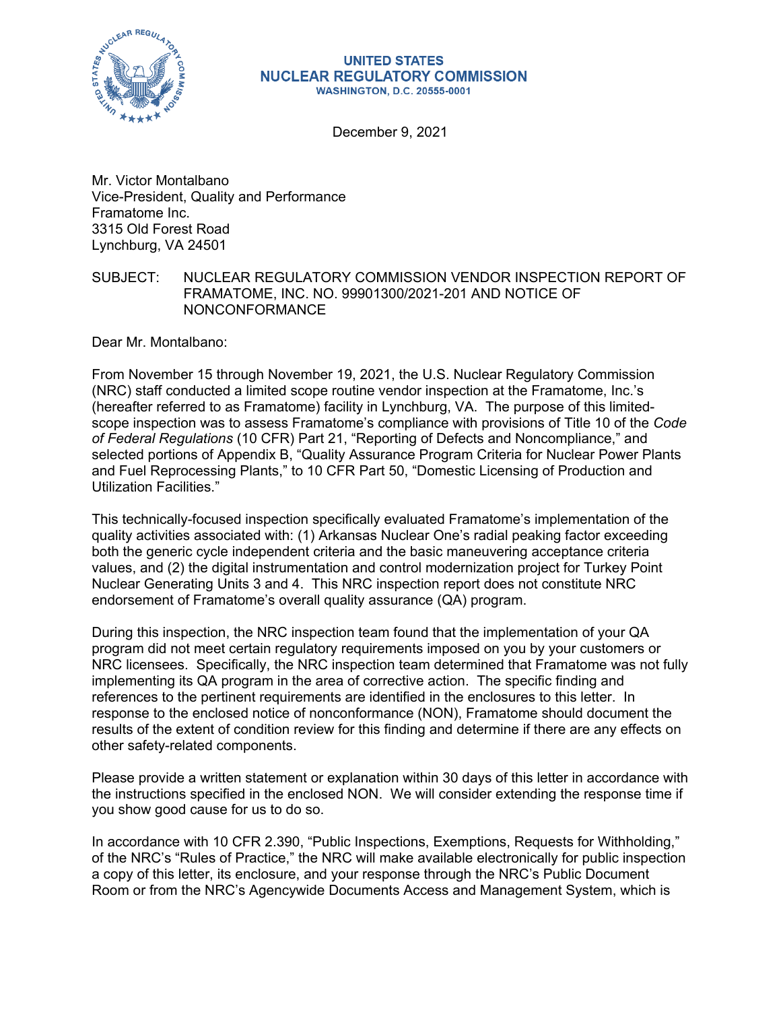

#### **UNITED STATES NUCLEAR REGULATORY COMMISSION WASHINGTON, D.C. 20555-0001**

December 9, 2021

Mr. Victor Montalbano Vice-President, Quality and Performance Framatome Inc. 3315 Old Forest Road Lynchburg, VA 24501

# SUBJECT: NUCLEAR REGULATORY COMMISSION VENDOR INSPECTION REPORT OF FRAMATOME, INC. NO. 99901300/2021-201 AND NOTICE OF NONCONFORMANCE

Dear Mr. Montalbano:

From November 15 through November 19, 2021, the U.S. Nuclear Regulatory Commission (NRC) staff conducted a limited scope routine vendor inspection at the Framatome, Inc.'s (hereafter referred to as Framatome) facility in Lynchburg, VA. The purpose of this limitedscope inspection was to assess Framatome's compliance with provisions of Title 10 of the *Code of Federal Regulations* (10 CFR) Part 21, "Reporting of Defects and Noncompliance," and selected portions of Appendix B, "Quality Assurance Program Criteria for Nuclear Power Plants and Fuel Reprocessing Plants," to 10 CFR Part 50, "Domestic Licensing of Production and Utilization Facilities."

This technically-focused inspection specifically evaluated Framatome's implementation of the quality activities associated with: (1) Arkansas Nuclear One's radial peaking factor exceeding both the generic cycle independent criteria and the basic maneuvering acceptance criteria values, and (2) the digital instrumentation and control modernization project for Turkey Point Nuclear Generating Units 3 and 4. This NRC inspection report does not constitute NRC endorsement of Framatome's overall quality assurance (QA) program.

During this inspection, the NRC inspection team found that the implementation of your QA program did not meet certain regulatory requirements imposed on you by your customers or NRC licensees. Specifically, the NRC inspection team determined that Framatome was not fully implementing its QA program in the area of corrective action. The specific finding and references to the pertinent requirements are identified in the enclosures to this letter. In response to the enclosed notice of nonconformance (NON), Framatome should document the results of the extent of condition review for this finding and determine if there are any effects on other safety-related components.

Please provide a written statement or explanation within 30 days of this letter in accordance with the instructions specified in the enclosed NON. We will consider extending the response time if you show good cause for us to do so.

In accordance with 10 CFR 2.390, "Public Inspections, Exemptions, Requests for Withholding," of the NRC's "Rules of Practice," the NRC will make available electronically for public inspection a copy of this letter, its enclosure, and your response through the NRC's Public Document Room or from the NRC's Agencywide Documents Access and Management System, which is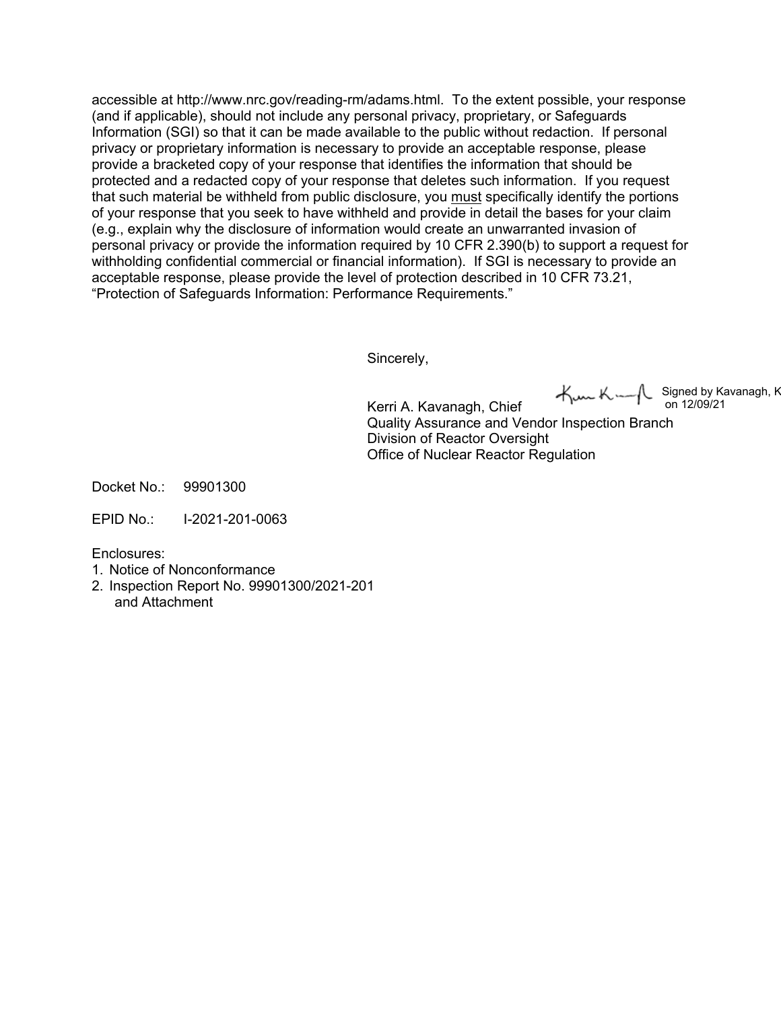accessible at http://www.nrc.gov/reading-rm/adams.html. To the extent possible, your response (and if applicable), should not include any personal privacy, proprietary, or Safeguards Information (SGI) so that it can be made available to the public without redaction. If personal privacy or proprietary information is necessary to provide an acceptable response, please provide a bracketed copy of your response that identifies the information that should be protected and a redacted copy of your response that deletes such information. If you request that such material be withheld from public disclosure, you must specifically identify the portions of your response that you seek to have withheld and provide in detail the bases for your claim (e.g., explain why the disclosure of information would create an unwarranted invasion of personal privacy or provide the information required by 10 CFR 2.390(b) to support a request for withholding confidential commercial or financial information). If SGI is necessary to provide an acceptable response, please provide the level of protection described in 10 CFR 73.21, "Protection of Safeguards Information: Performance Requirements."

Sincerely,

Office of Nuclear Reactor Regulation

Kerri A. Kavanagh, Chief Quality Assurance and Vendor Inspection Branch Division of Reactor Oversight Signed by Kavanagh, K on 12/09/21

Docket No.: 99901300

EPID No.: I-2021-201-0063

Enclosures:

- 1. Notice of Nonconformance
- 2. Inspection Report No. 99901300/2021-201
	- and Attachment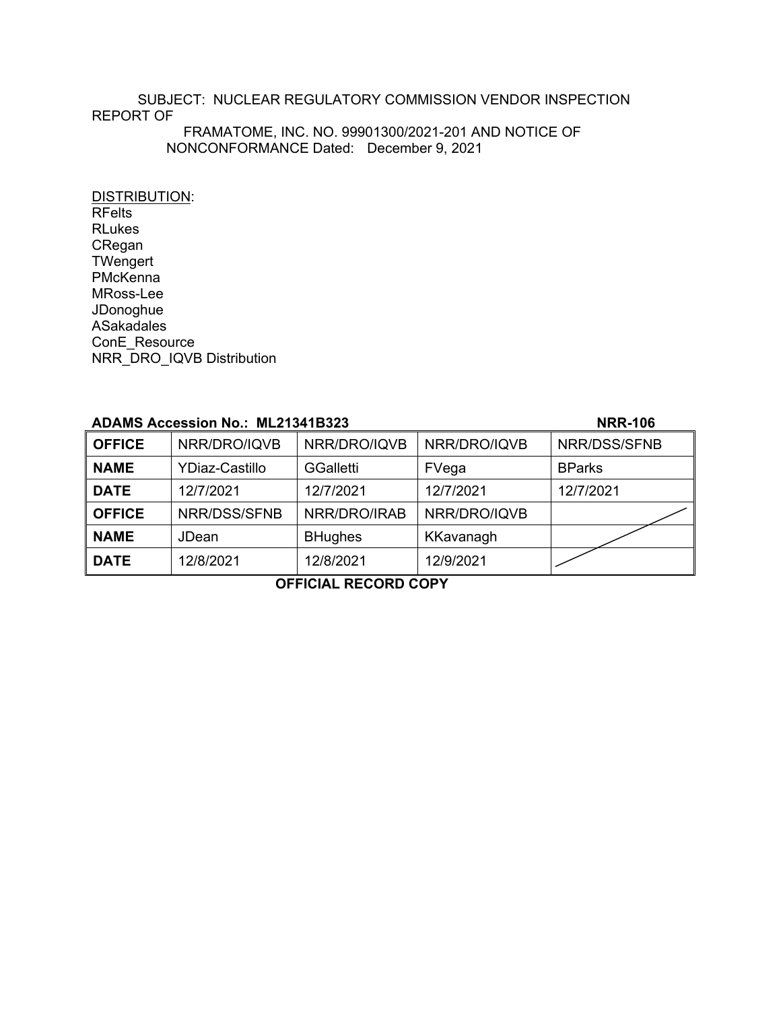# SUBJECT: NUCLEAR REGULATORY COMMISSION VENDOR INSPECTION REPORT OF FRAMATOME, INC. NO. 99901300/2021-201 AND NOTICE OF

NONCONFORMANCE Dated: December 9, 2021

DISTRIBUTION: RFelts RLukes CRegan **TWengert PMcKenna** MRoss-Lee JDonoghue ASakadales ConE\_Resource NRR\_DRO\_IQVB Distribution

# **ADAMS Accession No.: ML21341B323 NRR-106**

| <b>OFFICE</b> | NRR/DRO/IQVB          | NRR/DRO/IQVB     | NRR/DRO/IQVB | NRR/DSS/SFNB  |
|---------------|-----------------------|------------------|--------------|---------------|
| <b>NAME</b>   | <b>YDiaz-Castillo</b> | <b>GGalletti</b> | FVega        | <b>BParks</b> |
| <b>DATE</b>   | 12/7/2021             | 12/7/2021        | 12/7/2021    | 12/7/2021     |
| <b>OFFICE</b> | NRR/DSS/SFNB          | NRR/DRO/IRAB     | NRR/DRO/IQVB |               |
| <b>NAME</b>   | JDean                 | <b>BHughes</b>   | KKavanagh    |               |
| <b>DATE</b>   | 12/8/2021             | 12/8/2021        | 12/9/2021    |               |

**OFFICIAL RECORD COPY**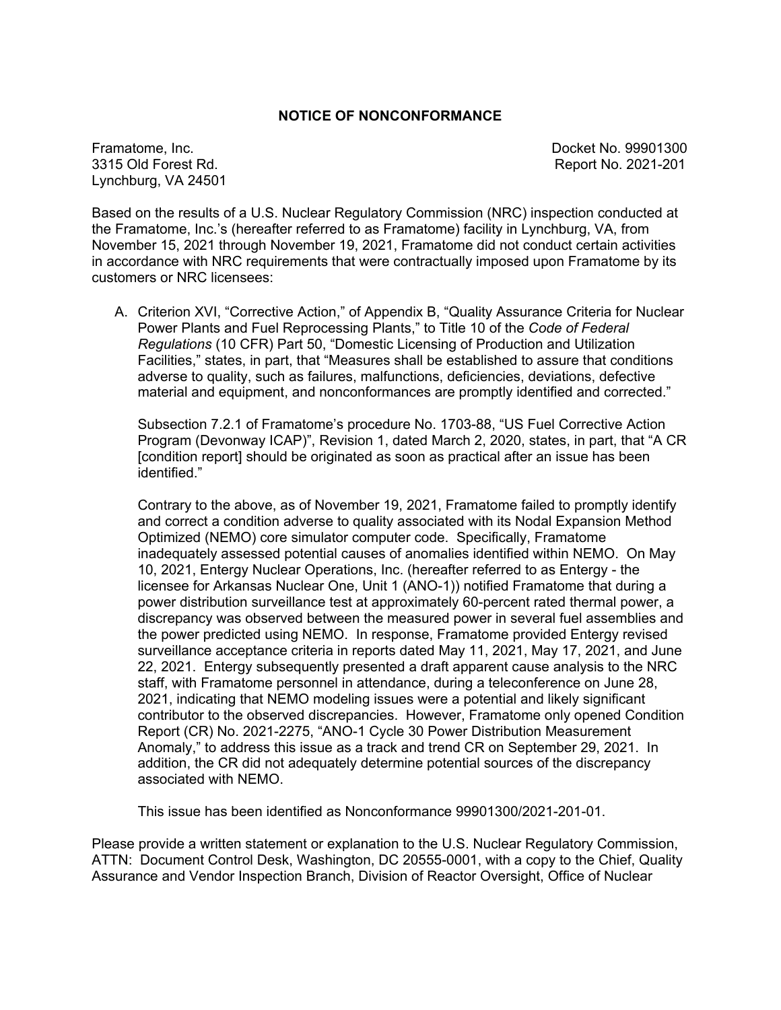# **NOTICE OF NONCONFORMANCE**

Framatome, Inc. **Docket No. 99901300** 3315 Old Forest Rd. Report No. 2021-201 Lynchburg, VA 24501

Based on the results of a U.S. Nuclear Regulatory Commission (NRC) inspection conducted at the Framatome, Inc.'s (hereafter referred to as Framatome) facility in Lynchburg, VA, from November 15, 2021 through November 19, 2021, Framatome did not conduct certain activities in accordance with NRC requirements that were contractually imposed upon Framatome by its customers or NRC licensees:

A. Criterion XVI, "Corrective Action," of Appendix B, "Quality Assurance Criteria for Nuclear Power Plants and Fuel Reprocessing Plants," to Title 10 of the *Code of Federal Regulations* (10 CFR) Part 50, "Domestic Licensing of Production and Utilization Facilities," states, in part, that "Measures shall be established to assure that conditions adverse to quality, such as failures, malfunctions, deficiencies, deviations, defective material and equipment, and nonconformances are promptly identified and corrected."

Subsection 7.2.1 of Framatome's procedure No. 1703-88, "US Fuel Corrective Action Program (Devonway ICAP)", Revision 1, dated March 2, 2020, states, in part, that "A CR [condition report] should be originated as soon as practical after an issue has been identified."

Contrary to the above, as of November 19, 2021, Framatome failed to promptly identify and correct a condition adverse to quality associated with its Nodal Expansion Method Optimized (NEMO) core simulator computer code. Specifically, Framatome inadequately assessed potential causes of anomalies identified within NEMO. On May 10, 2021, Entergy Nuclear Operations, Inc. (hereafter referred to as Entergy - the licensee for Arkansas Nuclear One, Unit 1 (ANO-1)) notified Framatome that during a power distribution surveillance test at approximately 60-percent rated thermal power, a discrepancy was observed between the measured power in several fuel assemblies and the power predicted using NEMO. In response, Framatome provided Entergy revised surveillance acceptance criteria in reports dated May 11, 2021, May 17, 2021, and June 22, 2021. Entergy subsequently presented a draft apparent cause analysis to the NRC staff, with Framatome personnel in attendance, during a teleconference on June 28, 2021, indicating that NEMO modeling issues were a potential and likely significant contributor to the observed discrepancies. However, Framatome only opened Condition Report (CR) No. 2021-2275, "ANO-1 Cycle 30 Power Distribution Measurement Anomaly," to address this issue as a track and trend CR on September 29, 2021. In addition, the CR did not adequately determine potential sources of the discrepancy associated with NEMO.

This issue has been identified as Nonconformance 99901300/2021-201-01.

Please provide a written statement or explanation to the U.S. Nuclear Regulatory Commission, ATTN: Document Control Desk, Washington, DC 20555-0001, with a copy to the Chief, Quality Assurance and Vendor Inspection Branch, Division of Reactor Oversight, Office of Nuclear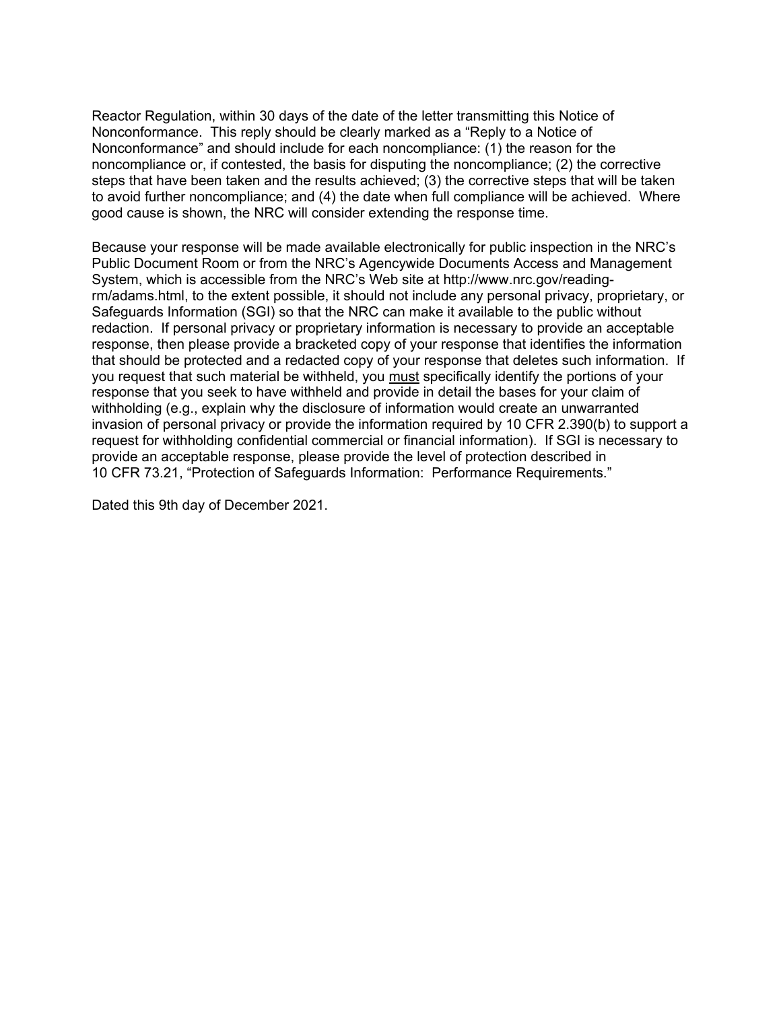Reactor Regulation, within 30 days of the date of the letter transmitting this Notice of Nonconformance. This reply should be clearly marked as a "Reply to a Notice of Nonconformance" and should include for each noncompliance: (1) the reason for the noncompliance or, if contested, the basis for disputing the noncompliance; (2) the corrective steps that have been taken and the results achieved; (3) the corrective steps that will be taken to avoid further noncompliance; and (4) the date when full compliance will be achieved. Where good cause is shown, the NRC will consider extending the response time.

Because your response will be made available electronically for public inspection in the NRC's Public Document Room or from the NRC's Agencywide Documents Access and Management System, which is accessible from the NRC's Web site at http://www.nrc.gov/readingrm/adams.html, to the extent possible, it should not include any personal privacy, proprietary, or Safeguards Information (SGI) so that the NRC can make it available to the public without redaction. If personal privacy or proprietary information is necessary to provide an acceptable response, then please provide a bracketed copy of your response that identifies the information that should be protected and a redacted copy of your response that deletes such information. If you request that such material be withheld, you must specifically identify the portions of your response that you seek to have withheld and provide in detail the bases for your claim of withholding (e.g., explain why the disclosure of information would create an unwarranted invasion of personal privacy or provide the information required by 10 CFR 2.390(b) to support a request for withholding confidential commercial or financial information). If SGI is necessary to provide an acceptable response, please provide the level of protection described in 10 CFR 73.21, "Protection of Safeguards Information: Performance Requirements."

Dated this 9th day of December 2021.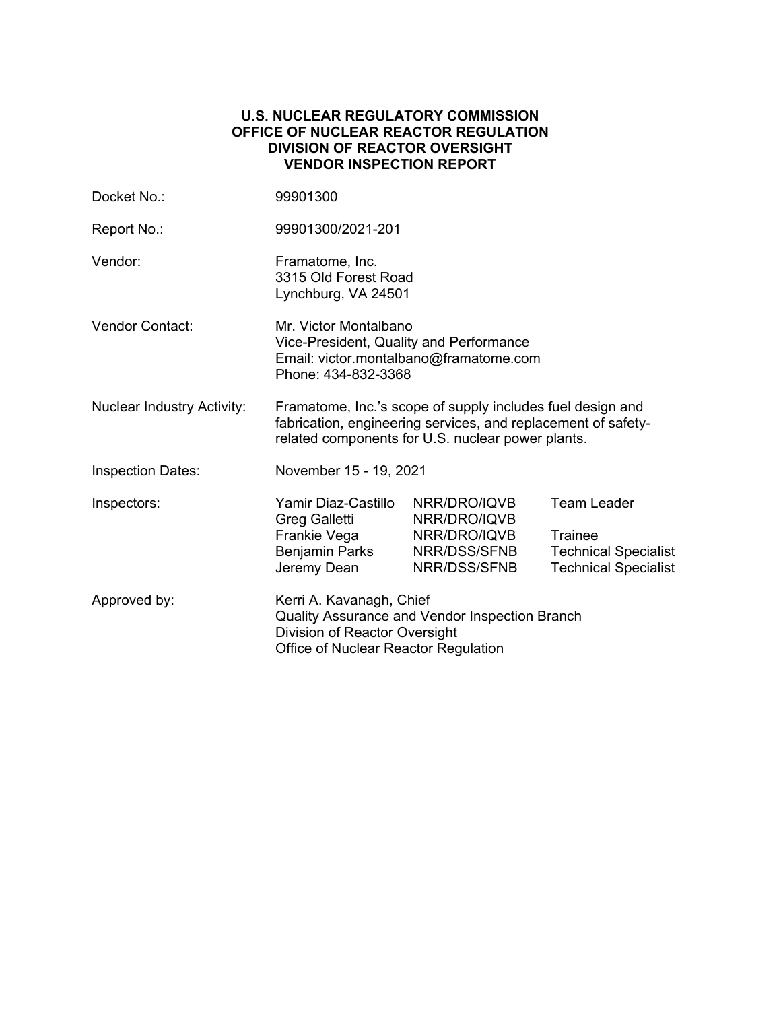# **U.S. NUCLEAR REGULATORY COMMISSION OFFICE OF NUCLEAR REACTOR REGULATION DIVISION OF REACTOR OVERSIGHT VENDOR INSPECTION REPORT**

| Docket No.:                       | 99901300                                                                                                                                                                         |                                                                              |                                                                                                    |  |  |
|-----------------------------------|----------------------------------------------------------------------------------------------------------------------------------------------------------------------------------|------------------------------------------------------------------------------|----------------------------------------------------------------------------------------------------|--|--|
| Report No.:                       | 99901300/2021-201                                                                                                                                                                |                                                                              |                                                                                                    |  |  |
| Vendor:                           | Framatome, Inc.<br>3315 Old Forest Road<br>Lynchburg, VA 24501                                                                                                                   |                                                                              |                                                                                                    |  |  |
| <b>Vendor Contact:</b>            | Mr. Victor Montalbano<br>Vice-President, Quality and Performance<br>Email: victor.montalbano@framatome.com<br>Phone: 434-832-3368                                                |                                                                              |                                                                                                    |  |  |
| <b>Nuclear Industry Activity:</b> | Framatome, Inc.'s scope of supply includes fuel design and<br>fabrication, engineering services, and replacement of safety-<br>related components for U.S. nuclear power plants. |                                                                              |                                                                                                    |  |  |
| <b>Inspection Dates:</b>          | November 15 - 19, 2021                                                                                                                                                           |                                                                              |                                                                                                    |  |  |
| Inspectors:                       | Yamir Diaz-Castillo<br>Greg Galletti<br>Frankie Vega<br>Benjamin Parks<br>Jeremy Dean                                                                                            | NRR/DRO/IQVB<br>NRR/DRO/IQVB<br>NRR/DRO/IQVB<br>NRR/DSS/SFNB<br>NRR/DSS/SFNB | <b>Team Leader</b><br><b>Trainee</b><br><b>Technical Specialist</b><br><b>Technical Specialist</b> |  |  |
| Approved by:                      | Kerri A. Kavanagh, Chief<br>Quality Assurance and Vendor Inspection Branch<br>Division of Reactor Oversight<br>Office of Nuclear Reactor Regulation                              |                                                                              |                                                                                                    |  |  |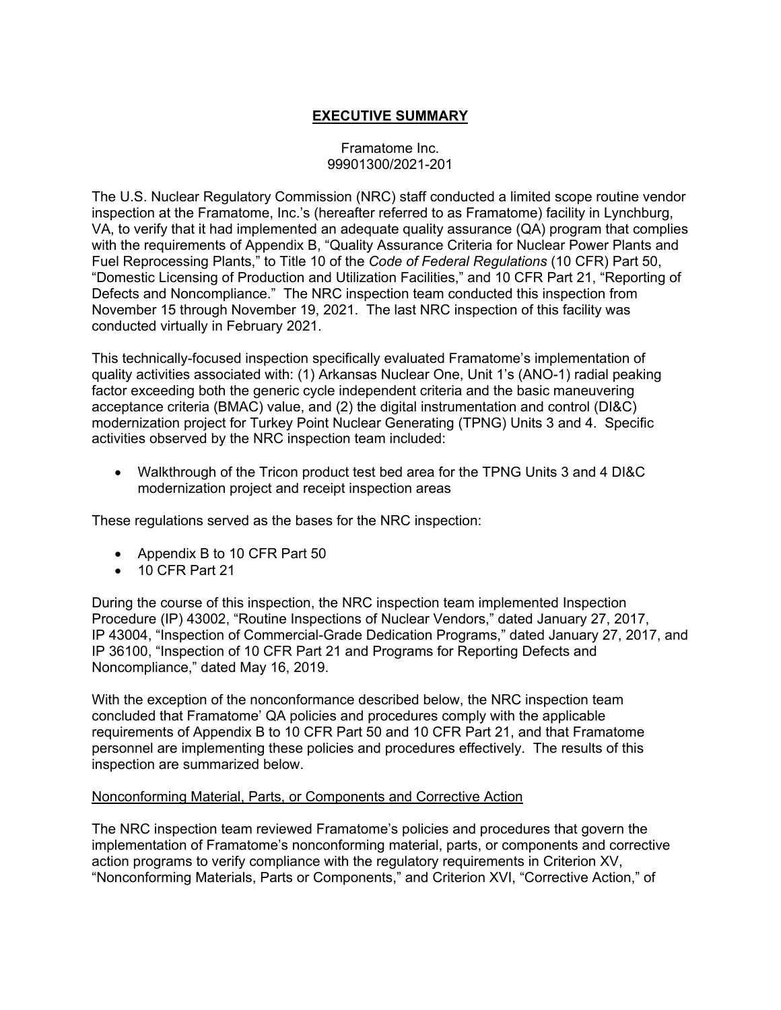# **EXECUTIVE SUMMARY**

# Framatome Inc. 99901300/2021-201

The U.S. Nuclear Regulatory Commission (NRC) staff conducted a limited scope routine vendor inspection at the Framatome, Inc.'s (hereafter referred to as Framatome) facility in Lynchburg, VA, to verify that it had implemented an adequate quality assurance (QA) program that complies with the requirements of Appendix B, "Quality Assurance Criteria for Nuclear Power Plants and Fuel Reprocessing Plants," to Title 10 of the *Code of Federal Regulations* (10 CFR) Part 50, "Domestic Licensing of Production and Utilization Facilities," and 10 CFR Part 21, "Reporting of Defects and Noncompliance." The NRC inspection team conducted this inspection from November 15 through November 19, 2021. The last NRC inspection of this facility was conducted virtually in February 2021.

This technically-focused inspection specifically evaluated Framatome's implementation of quality activities associated with: (1) Arkansas Nuclear One, Unit 1's (ANO-1) radial peaking factor exceeding both the generic cycle independent criteria and the basic maneuvering acceptance criteria (BMAC) value, and (2) the digital instrumentation and control (DI&C) modernization project for Turkey Point Nuclear Generating (TPNG) Units 3 and 4. Specific activities observed by the NRC inspection team included:

 Walkthrough of the Tricon product test bed area for the TPNG Units 3 and 4 DI&C modernization project and receipt inspection areas

These regulations served as the bases for the NRC inspection:

- Appendix B to 10 CFR Part 50
- 10 CFR Part 21

During the course of this inspection, the NRC inspection team implemented Inspection Procedure (IP) 43002, "Routine Inspections of Nuclear Vendors," dated January 27, 2017, IP 43004, "Inspection of Commercial-Grade Dedication Programs," dated January 27, 2017, and IP 36100, "Inspection of 10 CFR Part 21 and Programs for Reporting Defects and Noncompliance," dated May 16, 2019.

With the exception of the nonconformance described below, the NRC inspection team concluded that Framatome' QA policies and procedures comply with the applicable requirements of Appendix B to 10 CFR Part 50 and 10 CFR Part 21, and that Framatome personnel are implementing these policies and procedures effectively. The results of this inspection are summarized below.

# Nonconforming Material, Parts, or Components and Corrective Action

The NRC inspection team reviewed Framatome's policies and procedures that govern the implementation of Framatome's nonconforming material, parts, or components and corrective action programs to verify compliance with the regulatory requirements in Criterion XV, "Nonconforming Materials, Parts or Components," and Criterion XVI, "Corrective Action," of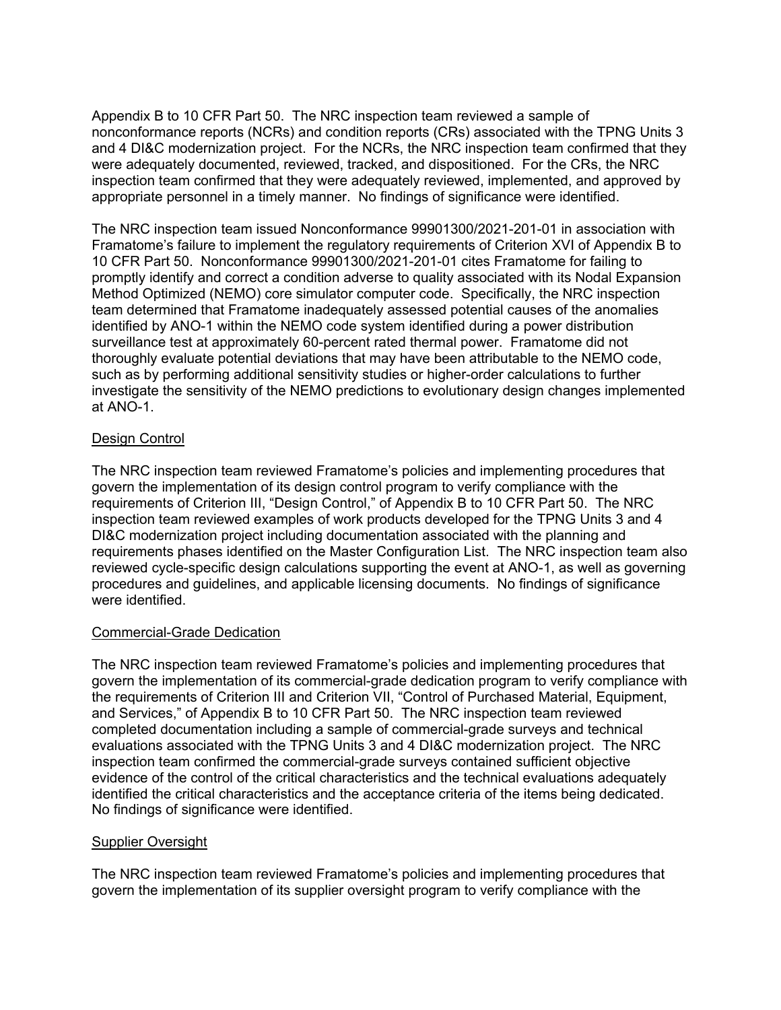Appendix B to 10 CFR Part 50. The NRC inspection team reviewed a sample of nonconformance reports (NCRs) and condition reports (CRs) associated with the TPNG Units 3 and 4 DI&C modernization project. For the NCRs, the NRC inspection team confirmed that they were adequately documented, reviewed, tracked, and dispositioned. For the CRs, the NRC inspection team confirmed that they were adequately reviewed, implemented, and approved by appropriate personnel in a timely manner. No findings of significance were identified.

The NRC inspection team issued Nonconformance 99901300/2021-201-01 in association with Framatome's failure to implement the regulatory requirements of Criterion XVI of Appendix B to 10 CFR Part 50. Nonconformance 99901300/2021-201-01 cites Framatome for failing to promptly identify and correct a condition adverse to quality associated with its Nodal Expansion Method Optimized (NEMO) core simulator computer code. Specifically, the NRC inspection team determined that Framatome inadequately assessed potential causes of the anomalies identified by ANO-1 within the NEMO code system identified during a power distribution surveillance test at approximately 60-percent rated thermal power. Framatome did not thoroughly evaluate potential deviations that may have been attributable to the NEMO code, such as by performing additional sensitivity studies or higher-order calculations to further investigate the sensitivity of the NEMO predictions to evolutionary design changes implemented at ANO-1.

# Design Control

The NRC inspection team reviewed Framatome's policies and implementing procedures that govern the implementation of its design control program to verify compliance with the requirements of Criterion III, "Design Control," of Appendix B to 10 CFR Part 50. The NRC inspection team reviewed examples of work products developed for the TPNG Units 3 and 4 DI&C modernization project including documentation associated with the planning and requirements phases identified on the Master Configuration List. The NRC inspection team also reviewed cycle-specific design calculations supporting the event at ANO-1, as well as governing procedures and guidelines, and applicable licensing documents. No findings of significance were identified.

# Commercial-Grade Dedication

The NRC inspection team reviewed Framatome's policies and implementing procedures that govern the implementation of its commercial-grade dedication program to verify compliance with the requirements of Criterion III and Criterion VII, "Control of Purchased Material, Equipment, and Services," of Appendix B to 10 CFR Part 50. The NRC inspection team reviewed completed documentation including a sample of commercial-grade surveys and technical evaluations associated with the TPNG Units 3 and 4 DI&C modernization project. The NRC inspection team confirmed the commercial-grade surveys contained sufficient objective evidence of the control of the critical characteristics and the technical evaluations adequately identified the critical characteristics and the acceptance criteria of the items being dedicated. No findings of significance were identified.

# Supplier Oversight

The NRC inspection team reviewed Framatome's policies and implementing procedures that govern the implementation of its supplier oversight program to verify compliance with the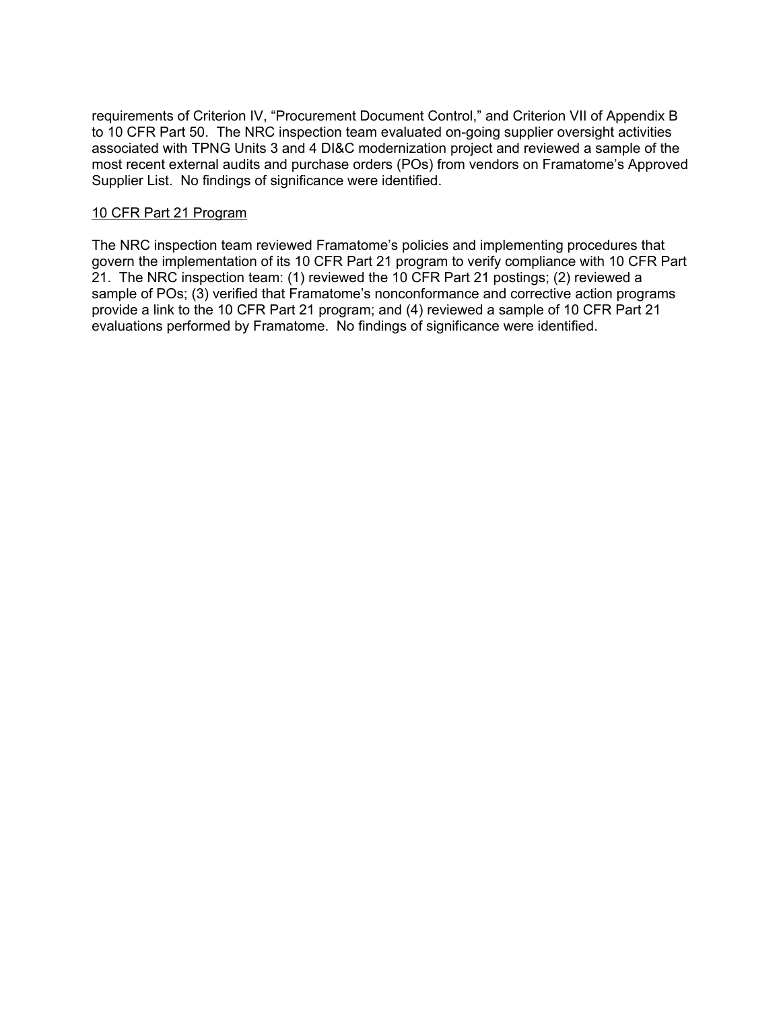requirements of Criterion IV, "Procurement Document Control," and Criterion VII of Appendix B to 10 CFR Part 50. The NRC inspection team evaluated on-going supplier oversight activities associated with TPNG Units 3 and 4 DI&C modernization project and reviewed a sample of the most recent external audits and purchase orders (POs) from vendors on Framatome's Approved Supplier List. No findings of significance were identified.

# 10 CFR Part 21 Program

The NRC inspection team reviewed Framatome's policies and implementing procedures that govern the implementation of its 10 CFR Part 21 program to verify compliance with 10 CFR Part 21. The NRC inspection team: (1) reviewed the 10 CFR Part 21 postings; (2) reviewed a sample of POs; (3) verified that Framatome's nonconformance and corrective action programs provide a link to the 10 CFR Part 21 program; and (4) reviewed a sample of 10 CFR Part 21 evaluations performed by Framatome. No findings of significance were identified.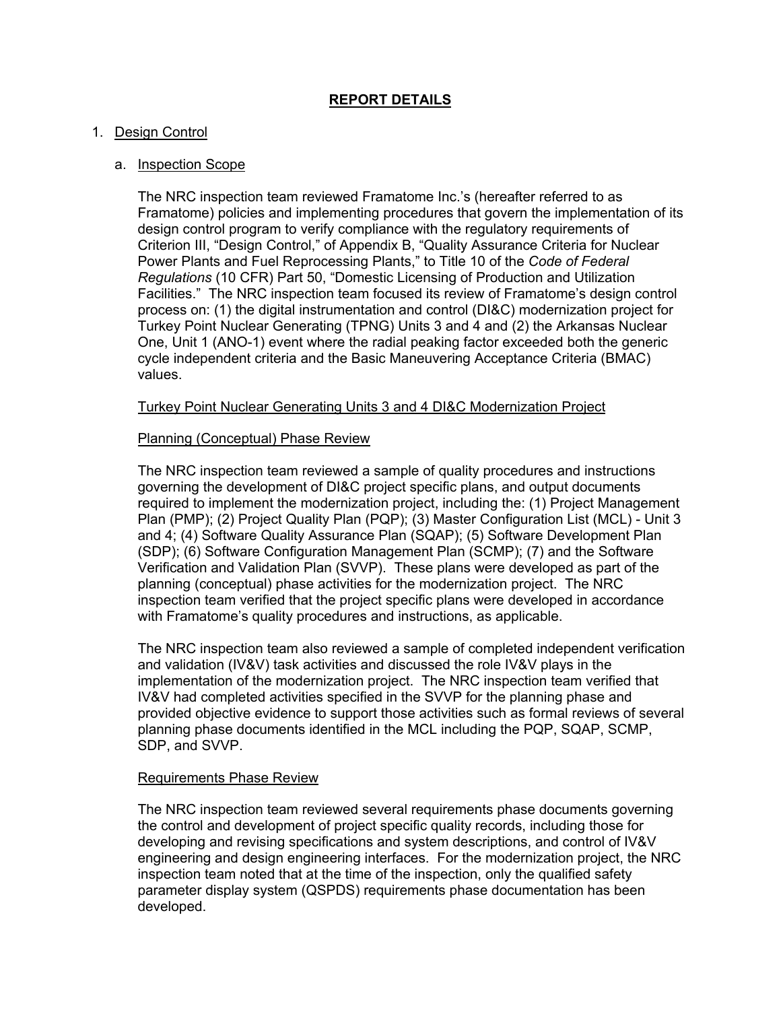# **REPORT DETAILS**

# 1. Design Control

# a. Inspection Scope

The NRC inspection team reviewed Framatome Inc.'s (hereafter referred to as Framatome) policies and implementing procedures that govern the implementation of its design control program to verify compliance with the regulatory requirements of Criterion III, "Design Control," of Appendix B, "Quality Assurance Criteria for Nuclear Power Plants and Fuel Reprocessing Plants," to Title 10 of the *Code of Federal Regulations* (10 CFR) Part 50, "Domestic Licensing of Production and Utilization Facilities." The NRC inspection team focused its review of Framatome's design control process on: (1) the digital instrumentation and control (DI&C) modernization project for Turkey Point Nuclear Generating (TPNG) Units 3 and 4 and (2) the Arkansas Nuclear One, Unit 1 (ANO-1) event where the radial peaking factor exceeded both the generic cycle independent criteria and the Basic Maneuvering Acceptance Criteria (BMAC) values.

# Turkey Point Nuclear Generating Units 3 and 4 DI&C Modernization Project

# Planning (Conceptual) Phase Review

The NRC inspection team reviewed a sample of quality procedures and instructions governing the development of DI&C project specific plans, and output documents required to implement the modernization project, including the: (1) Project Management Plan (PMP); (2) Project Quality Plan (PQP); (3) Master Configuration List (MCL) - Unit 3 and 4; (4) Software Quality Assurance Plan (SQAP); (5) Software Development Plan (SDP); (6) Software Configuration Management Plan (SCMP); (7) and the Software Verification and Validation Plan (SVVP). These plans were developed as part of the planning (conceptual) phase activities for the modernization project. The NRC inspection team verified that the project specific plans were developed in accordance with Framatome's quality procedures and instructions, as applicable.

The NRC inspection team also reviewed a sample of completed independent verification and validation (IV&V) task activities and discussed the role IV&V plays in the implementation of the modernization project. The NRC inspection team verified that IV&V had completed activities specified in the SVVP for the planning phase and provided objective evidence to support those activities such as formal reviews of several planning phase documents identified in the MCL including the PQP, SQAP, SCMP, SDP, and SVVP.

# Requirements Phase Review

The NRC inspection team reviewed several requirements phase documents governing the control and development of project specific quality records, including those for developing and revising specifications and system descriptions, and control of IV&V engineering and design engineering interfaces. For the modernization project, the NRC inspection team noted that at the time of the inspection, only the qualified safety parameter display system (QSPDS) requirements phase documentation has been developed.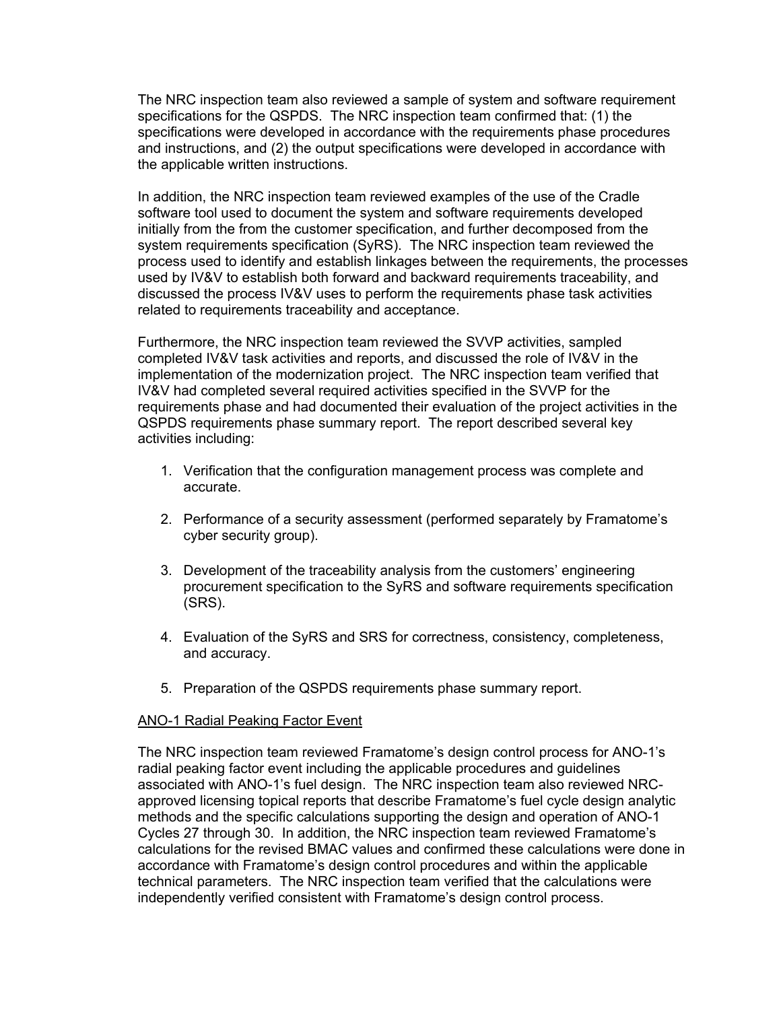The NRC inspection team also reviewed a sample of system and software requirement specifications for the QSPDS. The NRC inspection team confirmed that: (1) the specifications were developed in accordance with the requirements phase procedures and instructions, and (2) the output specifications were developed in accordance with the applicable written instructions.

In addition, the NRC inspection team reviewed examples of the use of the Cradle software tool used to document the system and software requirements developed initially from the from the customer specification, and further decomposed from the system requirements specification (SyRS). The NRC inspection team reviewed the process used to identify and establish linkages between the requirements, the processes used by IV&V to establish both forward and backward requirements traceability, and discussed the process IV&V uses to perform the requirements phase task activities related to requirements traceability and acceptance.

Furthermore, the NRC inspection team reviewed the SVVP activities, sampled completed IV&V task activities and reports, and discussed the role of IV&V in the implementation of the modernization project. The NRC inspection team verified that IV&V had completed several required activities specified in the SVVP for the requirements phase and had documented their evaluation of the project activities in the QSPDS requirements phase summary report. The report described several key activities including:

- 1. Verification that the configuration management process was complete and accurate.
- 2. Performance of a security assessment (performed separately by Framatome's cyber security group).
- 3. Development of the traceability analysis from the customers' engineering procurement specification to the SyRS and software requirements specification (SRS).
- 4. Evaluation of the SyRS and SRS for correctness, consistency, completeness, and accuracy.
- 5. Preparation of the QSPDS requirements phase summary report.

# ANO-1 Radial Peaking Factor Event

The NRC inspection team reviewed Framatome's design control process for ANO-1's radial peaking factor event including the applicable procedures and guidelines associated with ANO-1's fuel design. The NRC inspection team also reviewed NRCapproved licensing topical reports that describe Framatome's fuel cycle design analytic methods and the specific calculations supporting the design and operation of ANO-1 Cycles 27 through 30. In addition, the NRC inspection team reviewed Framatome's calculations for the revised BMAC values and confirmed these calculations were done in accordance with Framatome's design control procedures and within the applicable technical parameters. The NRC inspection team verified that the calculations were independently verified consistent with Framatome's design control process.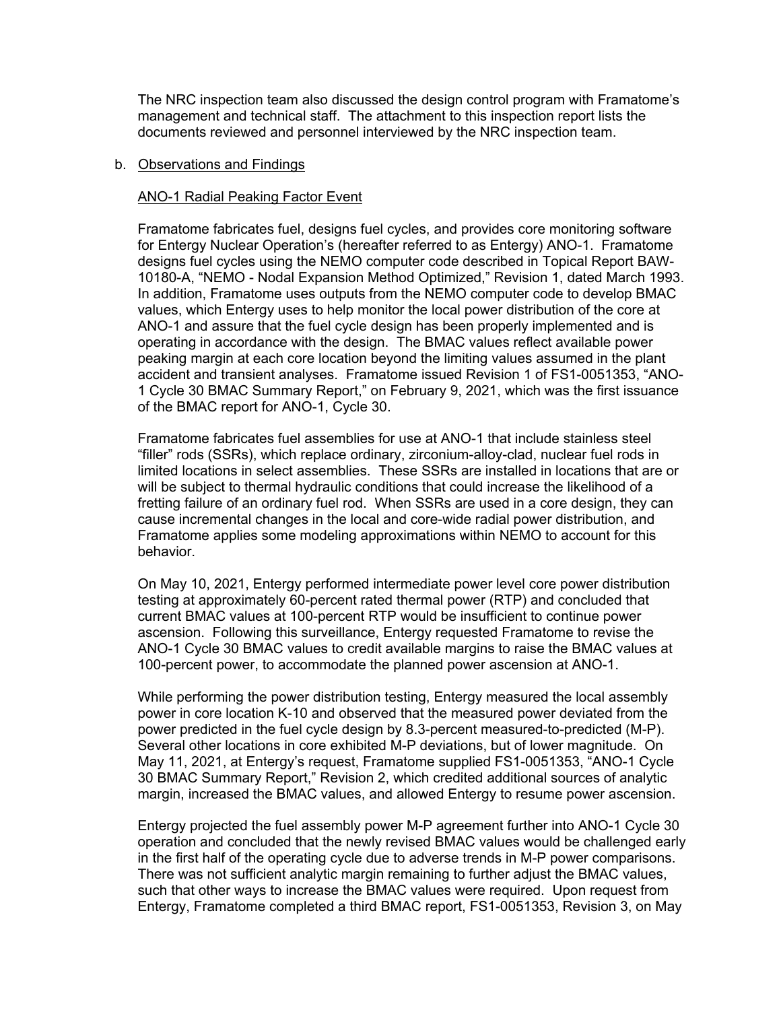The NRC inspection team also discussed the design control program with Framatome's management and technical staff. The attachment to this inspection report lists the documents reviewed and personnel interviewed by the NRC inspection team.

## b. Observations and Findings

# ANO-1 Radial Peaking Factor Event

Framatome fabricates fuel, designs fuel cycles, and provides core monitoring software for Entergy Nuclear Operation's (hereafter referred to as Entergy) ANO-1. Framatome designs fuel cycles using the NEMO computer code described in Topical Report BAW-10180-A, "NEMO - Nodal Expansion Method Optimized," Revision 1, dated March 1993. In addition, Framatome uses outputs from the NEMO computer code to develop BMAC values, which Entergy uses to help monitor the local power distribution of the core at ANO-1 and assure that the fuel cycle design has been properly implemented and is operating in accordance with the design. The BMAC values reflect available power peaking margin at each core location beyond the limiting values assumed in the plant accident and transient analyses. Framatome issued Revision 1 of FS1-0051353, "ANO-1 Cycle 30 BMAC Summary Report," on February 9, 2021, which was the first issuance of the BMAC report for ANO-1, Cycle 30.

Framatome fabricates fuel assemblies for use at ANO-1 that include stainless steel "filler" rods (SSRs), which replace ordinary, zirconium-alloy-clad, nuclear fuel rods in limited locations in select assemblies. These SSRs are installed in locations that are or will be subject to thermal hydraulic conditions that could increase the likelihood of a fretting failure of an ordinary fuel rod. When SSRs are used in a core design, they can cause incremental changes in the local and core-wide radial power distribution, and Framatome applies some modeling approximations within NEMO to account for this behavior.

On May 10, 2021, Entergy performed intermediate power level core power distribution testing at approximately 60-percent rated thermal power (RTP) and concluded that current BMAC values at 100-percent RTP would be insufficient to continue power ascension. Following this surveillance, Entergy requested Framatome to revise the ANO-1 Cycle 30 BMAC values to credit available margins to raise the BMAC values at 100-percent power, to accommodate the planned power ascension at ANO-1.

While performing the power distribution testing, Entergy measured the local assembly power in core location K-10 and observed that the measured power deviated from the power predicted in the fuel cycle design by 8.3-percent measured-to-predicted (M-P). Several other locations in core exhibited M-P deviations, but of lower magnitude. On May 11, 2021, at Entergy's request, Framatome supplied FS1-0051353, "ANO-1 Cycle 30 BMAC Summary Report," Revision 2, which credited additional sources of analytic margin, increased the BMAC values, and allowed Entergy to resume power ascension.

Entergy projected the fuel assembly power M-P agreement further into ANO-1 Cycle 30 operation and concluded that the newly revised BMAC values would be challenged early in the first half of the operating cycle due to adverse trends in M-P power comparisons. There was not sufficient analytic margin remaining to further adjust the BMAC values, such that other ways to increase the BMAC values were required. Upon request from Entergy, Framatome completed a third BMAC report, FS1-0051353, Revision 3, on May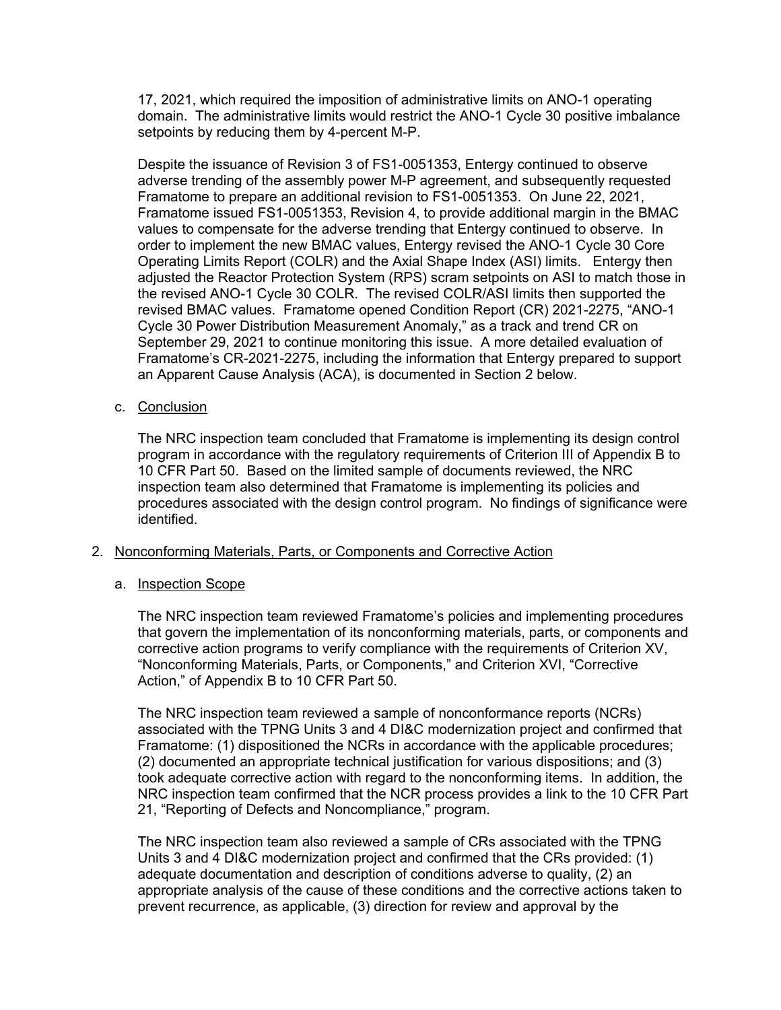17, 2021, which required the imposition of administrative limits on ANO-1 operating domain. The administrative limits would restrict the ANO-1 Cycle 30 positive imbalance setpoints by reducing them by 4-percent M-P.

Despite the issuance of Revision 3 of FS1-0051353, Entergy continued to observe adverse trending of the assembly power M-P agreement, and subsequently requested Framatome to prepare an additional revision to FS1-0051353. On June 22, 2021, Framatome issued FS1-0051353, Revision 4, to provide additional margin in the BMAC values to compensate for the adverse trending that Entergy continued to observe. In order to implement the new BMAC values, Entergy revised the ANO-1 Cycle 30 Core Operating Limits Report (COLR) and the Axial Shape Index (ASI) limits. Entergy then adjusted the Reactor Protection System (RPS) scram setpoints on ASI to match those in the revised ANO-1 Cycle 30 COLR. The revised COLR/ASI limits then supported the revised BMAC values. Framatome opened Condition Report (CR) 2021-2275, "ANO-1 Cycle 30 Power Distribution Measurement Anomaly," as a track and trend CR on September 29, 2021 to continue monitoring this issue. A more detailed evaluation of Framatome's CR-2021-2275, including the information that Entergy prepared to support an Apparent Cause Analysis (ACA), is documented in Section 2 below.

# c. Conclusion

The NRC inspection team concluded that Framatome is implementing its design control program in accordance with the regulatory requirements of Criterion III of Appendix B to 10 CFR Part 50. Based on the limited sample of documents reviewed, the NRC inspection team also determined that Framatome is implementing its policies and procedures associated with the design control program. No findings of significance were identified.

# 2. Nonconforming Materials, Parts, or Components and Corrective Action

# a. Inspection Scope

The NRC inspection team reviewed Framatome's policies and implementing procedures that govern the implementation of its nonconforming materials, parts, or components and corrective action programs to verify compliance with the requirements of Criterion XV, "Nonconforming Materials, Parts, or Components," and Criterion XVI, "Corrective Action," of Appendix B to 10 CFR Part 50.

The NRC inspection team reviewed a sample of nonconformance reports (NCRs) associated with the TPNG Units 3 and 4 DI&C modernization project and confirmed that Framatome: (1) dispositioned the NCRs in accordance with the applicable procedures; (2) documented an appropriate technical justification for various dispositions; and (3) took adequate corrective action with regard to the nonconforming items. In addition, the NRC inspection team confirmed that the NCR process provides a link to the 10 CFR Part 21, "Reporting of Defects and Noncompliance," program.

The NRC inspection team also reviewed a sample of CRs associated with the TPNG Units 3 and 4 DI&C modernization project and confirmed that the CRs provided: (1) adequate documentation and description of conditions adverse to quality, (2) an appropriate analysis of the cause of these conditions and the corrective actions taken to prevent recurrence, as applicable, (3) direction for review and approval by the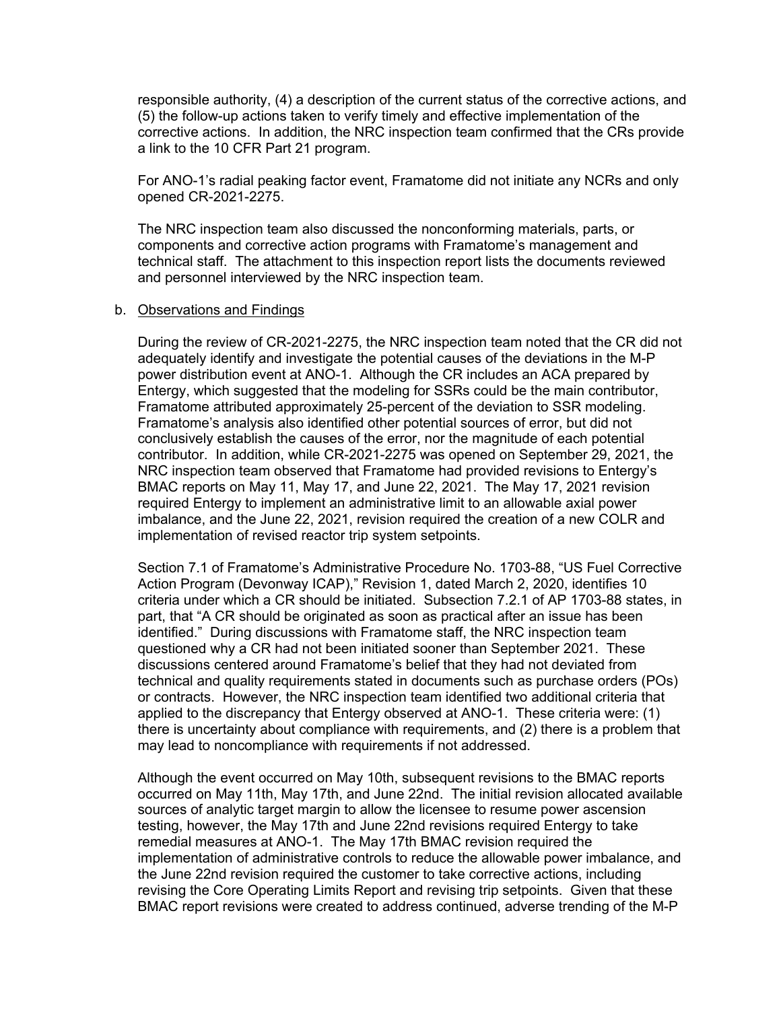responsible authority, (4) a description of the current status of the corrective actions, and (5) the follow-up actions taken to verify timely and effective implementation of the corrective actions. In addition, the NRC inspection team confirmed that the CRs provide a link to the 10 CFR Part 21 program.

For ANO-1's radial peaking factor event, Framatome did not initiate any NCRs and only opened CR-2021-2275.

The NRC inspection team also discussed the nonconforming materials, parts, or components and corrective action programs with Framatome's management and technical staff. The attachment to this inspection report lists the documents reviewed and personnel interviewed by the NRC inspection team.

#### b. Observations and Findings

During the review of CR-2021-2275, the NRC inspection team noted that the CR did not adequately identify and investigate the potential causes of the deviations in the M-P power distribution event at ANO-1. Although the CR includes an ACA prepared by Entergy, which suggested that the modeling for SSRs could be the main contributor, Framatome attributed approximately 25-percent of the deviation to SSR modeling. Framatome's analysis also identified other potential sources of error, but did not conclusively establish the causes of the error, nor the magnitude of each potential contributor. In addition, while CR-2021-2275 was opened on September 29, 2021, the NRC inspection team observed that Framatome had provided revisions to Entergy's BMAC reports on May 11, May 17, and June 22, 2021. The May 17, 2021 revision required Entergy to implement an administrative limit to an allowable axial power imbalance, and the June 22, 2021, revision required the creation of a new COLR and implementation of revised reactor trip system setpoints.

Section 7.1 of Framatome's Administrative Procedure No. 1703-88, "US Fuel Corrective Action Program (Devonway ICAP)," Revision 1, dated March 2, 2020, identifies 10 criteria under which a CR should be initiated. Subsection 7.2.1 of AP 1703-88 states, in part, that "A CR should be originated as soon as practical after an issue has been identified." During discussions with Framatome staff, the NRC inspection team questioned why a CR had not been initiated sooner than September 2021. These discussions centered around Framatome's belief that they had not deviated from technical and quality requirements stated in documents such as purchase orders (POs) or contracts. However, the NRC inspection team identified two additional criteria that applied to the discrepancy that Entergy observed at ANO-1. These criteria were: (1) there is uncertainty about compliance with requirements, and (2) there is a problem that may lead to noncompliance with requirements if not addressed.

Although the event occurred on May 10th, subsequent revisions to the BMAC reports occurred on May 11th, May 17th, and June 22nd. The initial revision allocated available sources of analytic target margin to allow the licensee to resume power ascension testing, however, the May 17th and June 22nd revisions required Entergy to take remedial measures at ANO-1. The May 17th BMAC revision required the implementation of administrative controls to reduce the allowable power imbalance, and the June 22nd revision required the customer to take corrective actions, including revising the Core Operating Limits Report and revising trip setpoints. Given that these BMAC report revisions were created to address continued, adverse trending of the M-P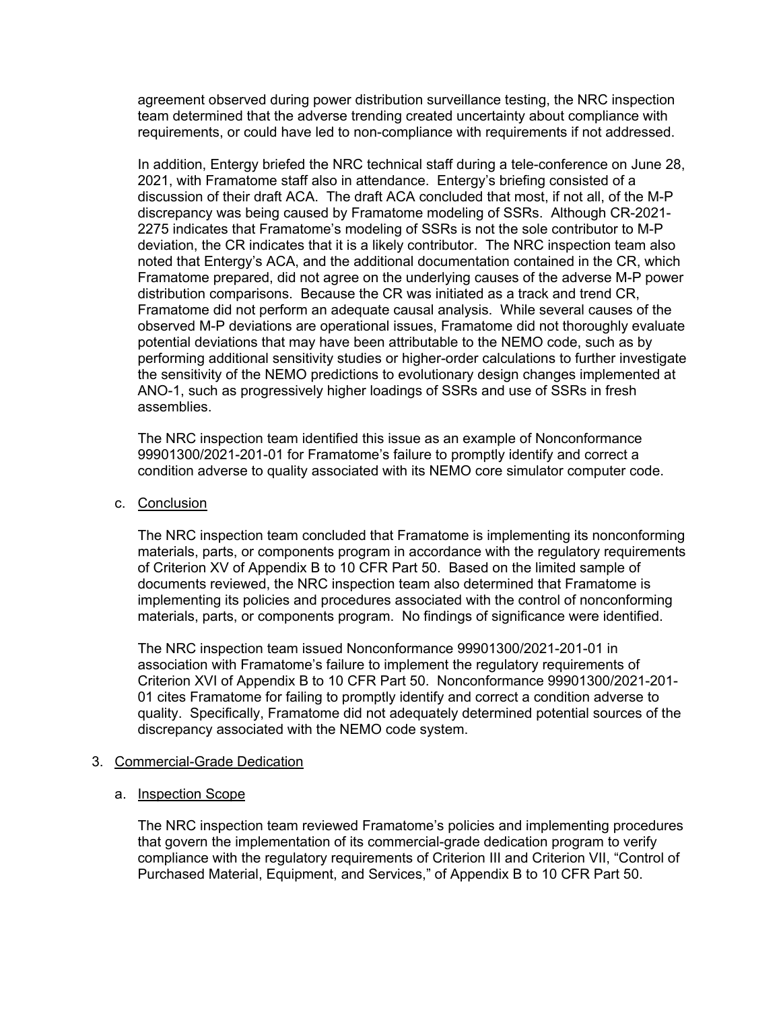agreement observed during power distribution surveillance testing, the NRC inspection team determined that the adverse trending created uncertainty about compliance with requirements, or could have led to non-compliance with requirements if not addressed.

In addition, Entergy briefed the NRC technical staff during a tele-conference on June 28, 2021, with Framatome staff also in attendance. Entergy's briefing consisted of a discussion of their draft ACA. The draft ACA concluded that most, if not all, of the M-P discrepancy was being caused by Framatome modeling of SSRs. Although CR-2021- 2275 indicates that Framatome's modeling of SSRs is not the sole contributor to M-P deviation, the CR indicates that it is a likely contributor. The NRC inspection team also noted that Entergy's ACA, and the additional documentation contained in the CR, which Framatome prepared, did not agree on the underlying causes of the adverse M-P power distribution comparisons. Because the CR was initiated as a track and trend CR, Framatome did not perform an adequate causal analysis. While several causes of the observed M-P deviations are operational issues, Framatome did not thoroughly evaluate potential deviations that may have been attributable to the NEMO code, such as by performing additional sensitivity studies or higher-order calculations to further investigate the sensitivity of the NEMO predictions to evolutionary design changes implemented at ANO-1, such as progressively higher loadings of SSRs and use of SSRs in fresh assemblies.

The NRC inspection team identified this issue as an example of Nonconformance 99901300/2021-201-01 for Framatome's failure to promptly identify and correct a condition adverse to quality associated with its NEMO core simulator computer code.

c. Conclusion

The NRC inspection team concluded that Framatome is implementing its nonconforming materials, parts, or components program in accordance with the regulatory requirements of Criterion XV of Appendix B to 10 CFR Part 50. Based on the limited sample of documents reviewed, the NRC inspection team also determined that Framatome is implementing its policies and procedures associated with the control of nonconforming materials, parts, or components program. No findings of significance were identified.

The NRC inspection team issued Nonconformance 99901300/2021-201-01 in association with Framatome's failure to implement the regulatory requirements of Criterion XVI of Appendix B to 10 CFR Part 50. Nonconformance 99901300/2021-201- 01 cites Framatome for failing to promptly identify and correct a condition adverse to quality. Specifically, Framatome did not adequately determined potential sources of the discrepancy associated with the NEMO code system.

# 3. Commercial-Grade Dedication

a. Inspection Scope

The NRC inspection team reviewed Framatome's policies and implementing procedures that govern the implementation of its commercial-grade dedication program to verify compliance with the regulatory requirements of Criterion III and Criterion VII, "Control of Purchased Material, Equipment, and Services," of Appendix B to 10 CFR Part 50.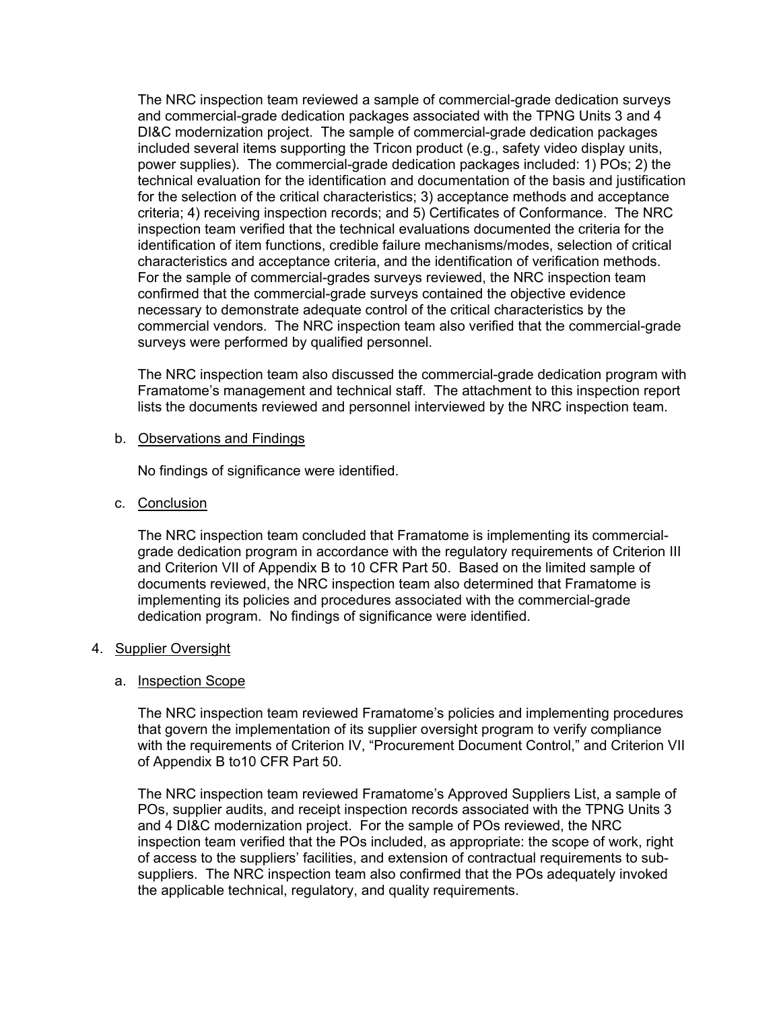The NRC inspection team reviewed a sample of commercial-grade dedication surveys and commercial-grade dedication packages associated with the TPNG Units 3 and 4 DI&C modernization project. The sample of commercial-grade dedication packages included several items supporting the Tricon product (e.g., safety video display units, power supplies). The commercial-grade dedication packages included: 1) POs; 2) the technical evaluation for the identification and documentation of the basis and justification for the selection of the critical characteristics; 3) acceptance methods and acceptance criteria; 4) receiving inspection records; and 5) Certificates of Conformance. The NRC inspection team verified that the technical evaluations documented the criteria for the identification of item functions, credible failure mechanisms/modes, selection of critical characteristics and acceptance criteria, and the identification of verification methods. For the sample of commercial-grades surveys reviewed, the NRC inspection team confirmed that the commercial-grade surveys contained the objective evidence necessary to demonstrate adequate control of the critical characteristics by the commercial vendors. The NRC inspection team also verified that the commercial-grade surveys were performed by qualified personnel.

The NRC inspection team also discussed the commercial-grade dedication program with Framatome's management and technical staff. The attachment to this inspection report lists the documents reviewed and personnel interviewed by the NRC inspection team.

# b. Observations and Findings

No findings of significance were identified.

c. Conclusion

The NRC inspection team concluded that Framatome is implementing its commercialgrade dedication program in accordance with the regulatory requirements of Criterion III and Criterion VII of Appendix B to 10 CFR Part 50. Based on the limited sample of documents reviewed, the NRC inspection team also determined that Framatome is implementing its policies and procedures associated with the commercial-grade dedication program. No findings of significance were identified.

# 4. Supplier Oversight

# a. Inspection Scope

The NRC inspection team reviewed Framatome's policies and implementing procedures that govern the implementation of its supplier oversight program to verify compliance with the requirements of Criterion IV, "Procurement Document Control," and Criterion VII of Appendix B to10 CFR Part 50.

The NRC inspection team reviewed Framatome's Approved Suppliers List, a sample of POs, supplier audits, and receipt inspection records associated with the TPNG Units 3 and 4 DI&C modernization project. For the sample of POs reviewed, the NRC inspection team verified that the POs included, as appropriate: the scope of work, right of access to the suppliers' facilities, and extension of contractual requirements to subsuppliers. The NRC inspection team also confirmed that the POs adequately invoked the applicable technical, regulatory, and quality requirements.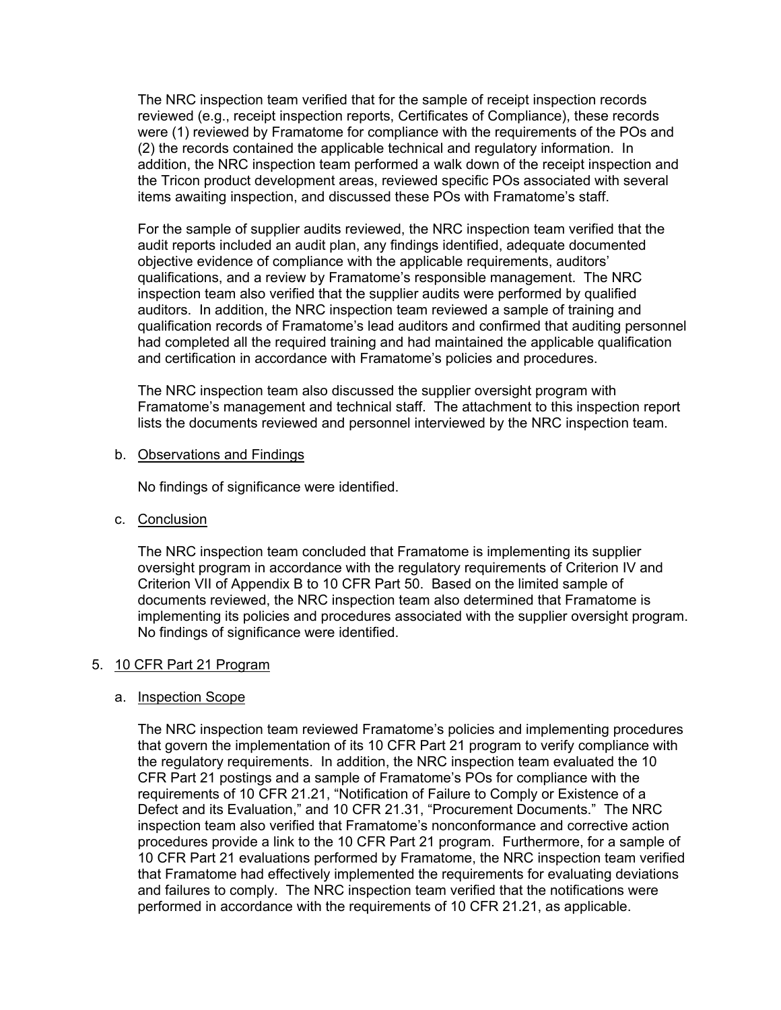The NRC inspection team verified that for the sample of receipt inspection records reviewed (e.g., receipt inspection reports, Certificates of Compliance), these records were (1) reviewed by Framatome for compliance with the requirements of the POs and (2) the records contained the applicable technical and regulatory information. In addition, the NRC inspection team performed a walk down of the receipt inspection and the Tricon product development areas, reviewed specific POs associated with several items awaiting inspection, and discussed these POs with Framatome's staff.

For the sample of supplier audits reviewed, the NRC inspection team verified that the audit reports included an audit plan, any findings identified, adequate documented objective evidence of compliance with the applicable requirements, auditors' qualifications, and a review by Framatome's responsible management. The NRC inspection team also verified that the supplier audits were performed by qualified auditors. In addition, the NRC inspection team reviewed a sample of training and qualification records of Framatome's lead auditors and confirmed that auditing personnel had completed all the required training and had maintained the applicable qualification and certification in accordance with Framatome's policies and procedures.

The NRC inspection team also discussed the supplier oversight program with Framatome's management and technical staff. The attachment to this inspection report lists the documents reviewed and personnel interviewed by the NRC inspection team.

b. Observations and Findings

No findings of significance were identified.

c. Conclusion

The NRC inspection team concluded that Framatome is implementing its supplier oversight program in accordance with the regulatory requirements of Criterion IV and Criterion VII of Appendix B to 10 CFR Part 50. Based on the limited sample of documents reviewed, the NRC inspection team also determined that Framatome is implementing its policies and procedures associated with the supplier oversight program. No findings of significance were identified.

# 5. 10 CFR Part 21 Program

# a. Inspection Scope

The NRC inspection team reviewed Framatome's policies and implementing procedures that govern the implementation of its 10 CFR Part 21 program to verify compliance with the regulatory requirements. In addition, the NRC inspection team evaluated the 10 CFR Part 21 postings and a sample of Framatome's POs for compliance with the requirements of 10 CFR 21.21, "Notification of Failure to Comply or Existence of a Defect and its Evaluation," and 10 CFR 21.31, "Procurement Documents." The NRC inspection team also verified that Framatome's nonconformance and corrective action procedures provide a link to the 10 CFR Part 21 program. Furthermore, for a sample of 10 CFR Part 21 evaluations performed by Framatome, the NRC inspection team verified that Framatome had effectively implemented the requirements for evaluating deviations and failures to comply. The NRC inspection team verified that the notifications were performed in accordance with the requirements of 10 CFR 21.21, as applicable.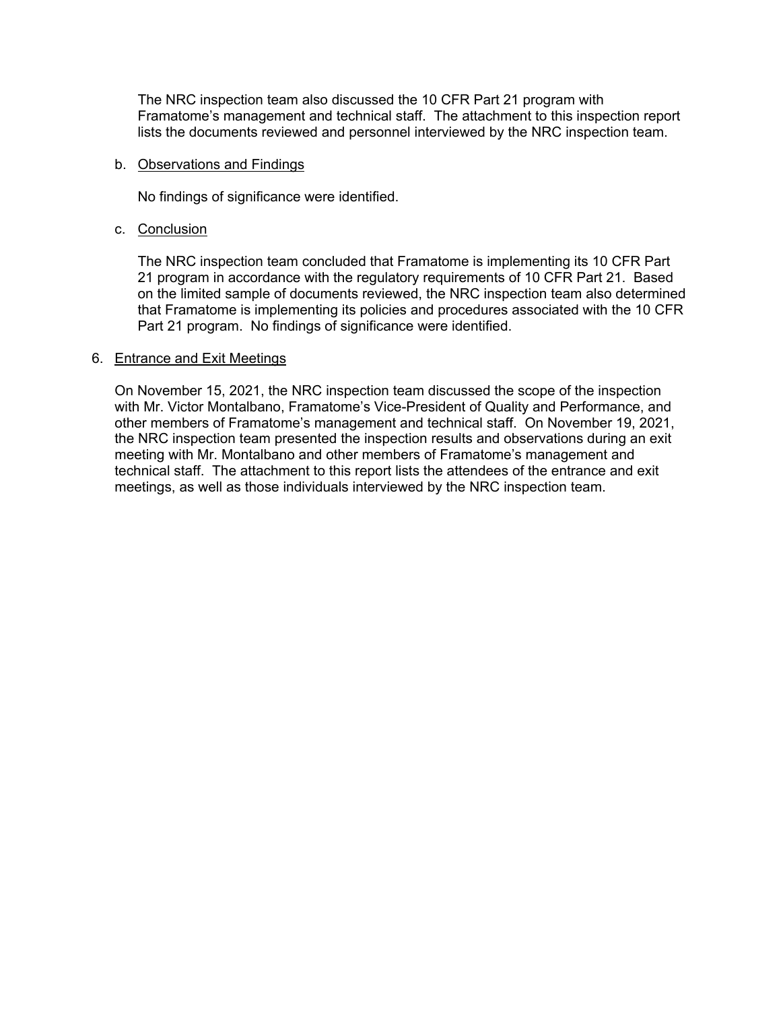The NRC inspection team also discussed the 10 CFR Part 21 program with Framatome's management and technical staff. The attachment to this inspection report lists the documents reviewed and personnel interviewed by the NRC inspection team.

## b. Observations and Findings

No findings of significance were identified.

# c. Conclusion

The NRC inspection team concluded that Framatome is implementing its 10 CFR Part 21 program in accordance with the regulatory requirements of 10 CFR Part 21. Based on the limited sample of documents reviewed, the NRC inspection team also determined that Framatome is implementing its policies and procedures associated with the 10 CFR Part 21 program. No findings of significance were identified.

### 6. Entrance and Exit Meetings

On November 15, 2021, the NRC inspection team discussed the scope of the inspection with Mr. Victor Montalbano, Framatome's Vice-President of Quality and Performance, and other members of Framatome's management and technical staff. On November 19, 2021, the NRC inspection team presented the inspection results and observations during an exit meeting with Mr. Montalbano and other members of Framatome's management and technical staff. The attachment to this report lists the attendees of the entrance and exit meetings, as well as those individuals interviewed by the NRC inspection team.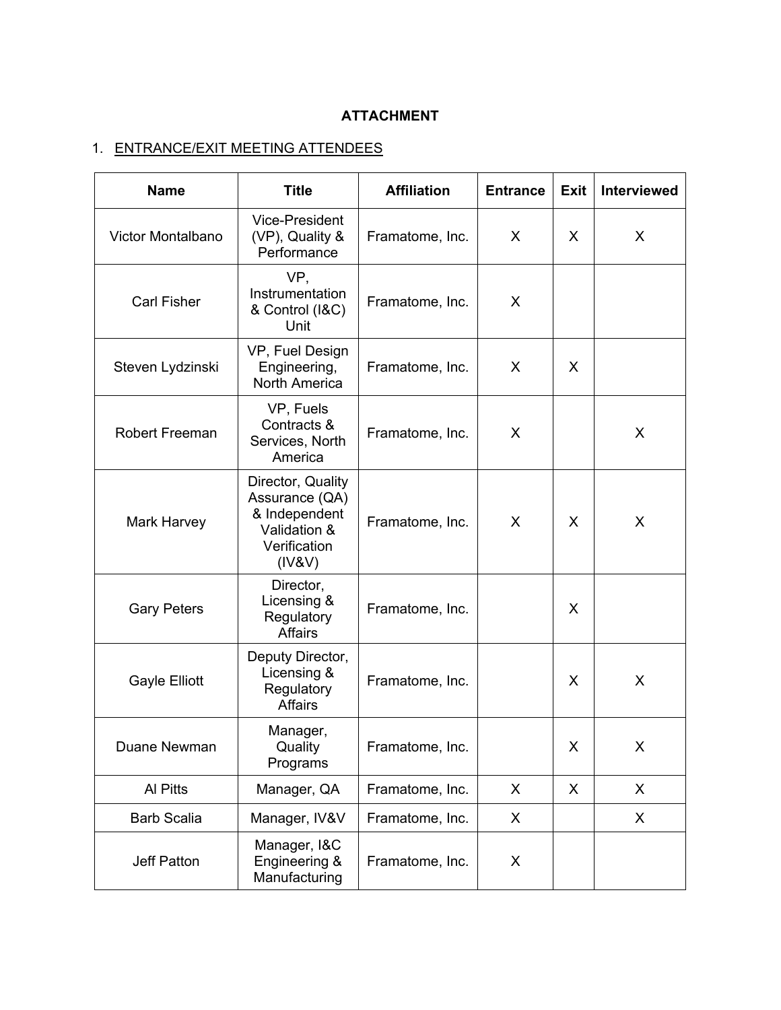# **ATTACHMENT**

# 1. ENTRANCE/EXIT MEETING ATTENDEES

| <b>Name</b>              | <b>Title</b>                                                                                   | <b>Affiliation</b> | <b>Entrance</b> | <b>Exit</b> | <b>Interviewed</b> |
|--------------------------|------------------------------------------------------------------------------------------------|--------------------|-----------------|-------------|--------------------|
| <b>Victor Montalbano</b> | <b>Vice-President</b><br>(VP), Quality &<br>Performance                                        | Framatome, Inc.    | X               | X           | X                  |
| <b>Carl Fisher</b>       | VP,<br>Instrumentation<br>& Control (I&C)<br>Unit                                              | Framatome, Inc.    | X               |             |                    |
| Steven Lydzinski         | VP, Fuel Design<br>Engineering,<br><b>North America</b>                                        | Framatome, Inc.    | X               | X           |                    |
| <b>Robert Freeman</b>    | VP, Fuels<br>Contracts &<br>Services, North<br>America                                         | Framatome, Inc.    | X               |             | X                  |
| <b>Mark Harvey</b>       | Director, Quality<br>Assurance (QA)<br>& Independent<br>Validation &<br>Verification<br>(IV8V) | Framatome, Inc.    | X               | X           | X                  |
| <b>Gary Peters</b>       | Director,<br>Licensing &<br>Regulatory<br>Affairs                                              | Framatome, Inc.    |                 | X           |                    |
| <b>Gayle Elliott</b>     | Deputy Director,<br>Licensing &<br>Regulatory<br>Affairs                                       | Framatome, Inc.    |                 | X           | X                  |
| Duane Newman             | Manager,<br>Quality<br>Programs                                                                | Framatome, Inc.    |                 | X           | X                  |
| Al Pitts                 | Manager, QA                                                                                    | Framatome, Inc.    | X               | X           | X                  |
| <b>Barb Scalia</b>       | Manager, IV&V                                                                                  | Framatome, Inc.    | X.              |             | X                  |
| <b>Jeff Patton</b>       | Manager, I&C<br>Engineering &<br>Manufacturing                                                 | Framatome, Inc.    | X               |             |                    |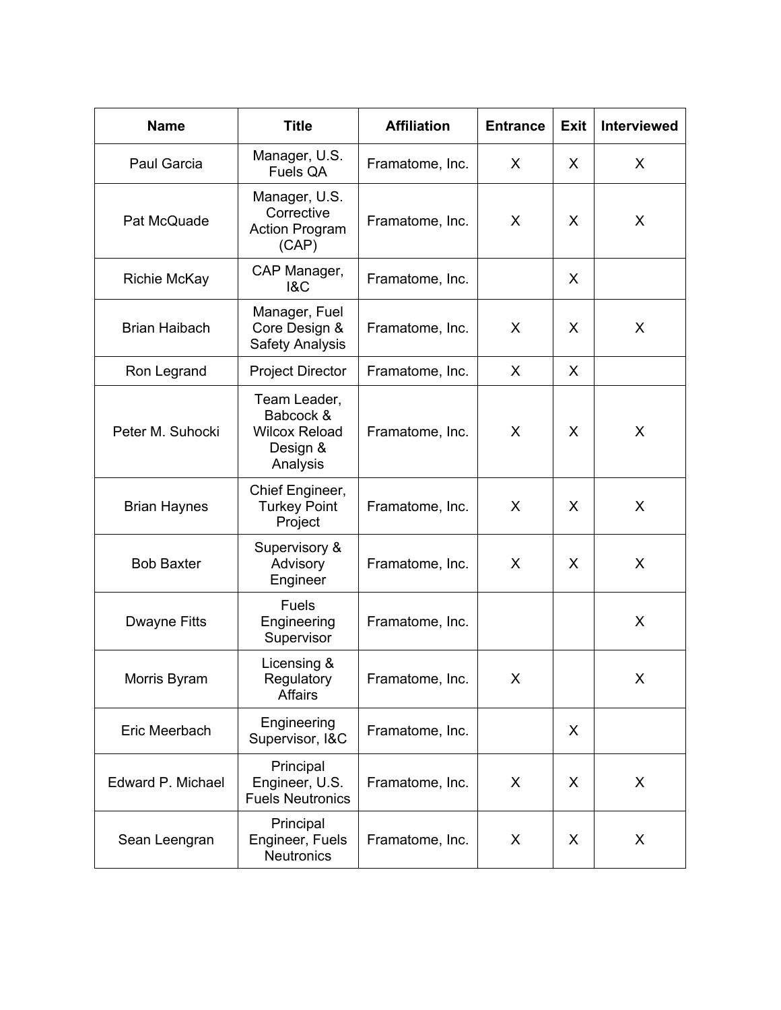| <b>Name</b>          | <b>Title</b>                                                              | <b>Affiliation</b> | <b>Entrance</b> | <b>Exit</b> | Interviewed |
|----------------------|---------------------------------------------------------------------------|--------------------|-----------------|-------------|-------------|
| Paul Garcia          | Manager, U.S.<br>Fuels QA                                                 | Framatome, Inc.    | X.              | X           | X           |
| Pat McQuade          | Manager, U.S.<br>Corrective<br><b>Action Program</b><br>(CAP)             | Framatome, Inc.    | X               | X           | X           |
| <b>Richie McKay</b>  | CAP Manager,<br><b>1&amp;C</b>                                            | Framatome, Inc.    |                 | X           |             |
| <b>Brian Haibach</b> | Manager, Fuel<br>Core Design &<br><b>Safety Analysis</b>                  | Framatome, Inc.    | X               | X           | X           |
| Ron Legrand          | <b>Project Director</b>                                                   | Framatome, Inc.    | $\sf X$         | X           |             |
| Peter M. Suhocki     | Team Leader,<br>Babcock &<br><b>Wilcox Reload</b><br>Design &<br>Analysis | Framatome, Inc.    | X               | X           | X           |
| <b>Brian Haynes</b>  | Chief Engineer,<br><b>Turkey Point</b><br>Project                         | Framatome, Inc.    | X               | X           | X           |
| <b>Bob Baxter</b>    | Supervisory &<br>Advisory<br>Engineer                                     | Framatome, Inc.    | X               | X           | X           |
| Dwayne Fitts         | <b>Fuels</b><br>Engineering<br>Supervisor                                 | Framatome, Inc.    |                 |             | X           |
| Morris Byram         | Licensing &<br>Regulatory<br>Affairs                                      | Framatome, Inc.    | X               |             | X           |
| Eric Meerbach        | Engineering<br>Supervisor, I&C                                            | Framatome, Inc.    |                 | X           |             |
| Edward P. Michael    | Principal<br>Engineer, U.S.<br><b>Fuels Neutronics</b>                    | Framatome, Inc.    | X               | X           | X           |
| Sean Leengran        | Principal<br>Engineer, Fuels<br><b>Neutronics</b>                         | Framatome, Inc.    | X               | X           | X           |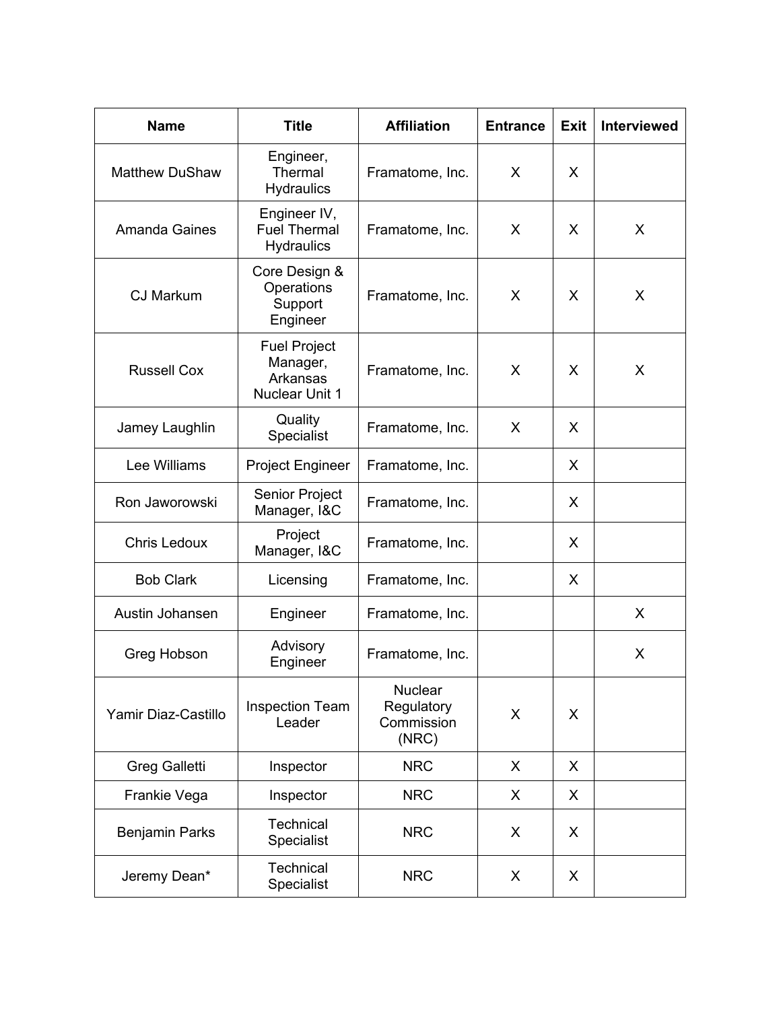| <b>Name</b>           | <b>Title</b>                                                         | <b>Affiliation</b>                                  | <b>Entrance</b> | <b>Exit</b> | <b>Interviewed</b> |
|-----------------------|----------------------------------------------------------------------|-----------------------------------------------------|-----------------|-------------|--------------------|
| <b>Matthew DuShaw</b> | Engineer,<br>Thermal<br><b>Hydraulics</b>                            | Framatome, Inc.                                     | X               | X           |                    |
| <b>Amanda Gaines</b>  | Engineer IV,<br><b>Fuel Thermal</b><br><b>Hydraulics</b>             | Framatome, Inc.                                     | X.              | X           | X                  |
| <b>CJ Markum</b>      | Core Design &<br>Operations<br>Support<br>Engineer                   | Framatome, Inc.                                     | X               | X           | X                  |
| <b>Russell Cox</b>    | <b>Fuel Project</b><br>Manager,<br>Arkansas<br><b>Nuclear Unit 1</b> | Framatome, Inc.                                     | X               | X           | X                  |
| Jamey Laughlin        | Quality<br>Specialist                                                | Framatome, Inc.                                     | X               | X           |                    |
| Lee Williams          | <b>Project Engineer</b>                                              | Framatome, Inc.                                     |                 | X           |                    |
| Ron Jaworowski        | Senior Project<br>Manager, I&C                                       | Framatome, Inc.                                     |                 | X           |                    |
| <b>Chris Ledoux</b>   | Project<br>Manager, I&C                                              | Framatome, Inc.                                     |                 | X           |                    |
| <b>Bob Clark</b>      | Licensing                                                            | Framatome, Inc.                                     |                 | X           |                    |
| Austin Johansen       | Engineer                                                             | Framatome, Inc.                                     |                 |             | X                  |
| Greg Hobson           | Advisory<br>Engineer                                                 | Framatome, Inc.                                     |                 |             | X                  |
| Yamir Diaz-Castillo   | <b>Inspection Team</b><br>Leader                                     | <b>Nuclear</b><br>Regulatory<br>Commission<br>(NRC) | X               | X           |                    |
| <b>Greg Galletti</b>  | Inspector                                                            | <b>NRC</b>                                          | X.              | X           |                    |
| Frankie Vega          | Inspector                                                            | <b>NRC</b>                                          | X               | X           |                    |
| <b>Benjamin Parks</b> | <b>Technical</b><br>Specialist                                       | <b>NRC</b>                                          | X               | X           |                    |
| Jeremy Dean*          | <b>Technical</b><br>Specialist                                       | <b>NRC</b>                                          | X.              | X           |                    |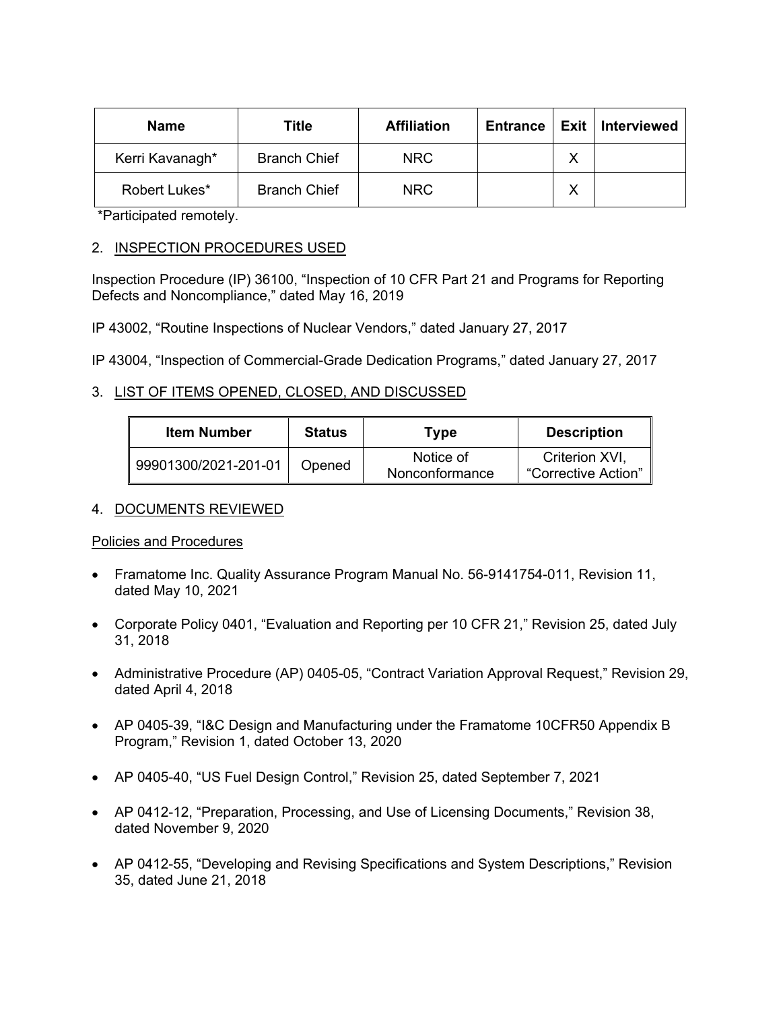| Name            | Title               | <b>Affiliation</b> | <b>Entrance</b> |   | Exit   Interviewed |
|-----------------|---------------------|--------------------|-----------------|---|--------------------|
| Kerri Kavanagh* | <b>Branch Chief</b> | NRC.               |                 | Χ |                    |
| Robert Lukes*   | <b>Branch Chief</b> | NRC.               |                 | ◡ |                    |

\*Participated remotely.

# 2. INSPECTION PROCEDURES USED

Inspection Procedure (IP) 36100, "Inspection of 10 CFR Part 21 and Programs for Reporting Defects and Noncompliance," dated May 16, 2019

IP 43002, "Routine Inspections of Nuclear Vendors," dated January 27, 2017

IP 43004, "Inspection of Commercial-Grade Dedication Programs," dated January 27, 2017

# 3. LIST OF ITEMS OPENED, CLOSED, AND DISCUSSED

| <b>Item Number</b>   | <b>Status</b> | Type                        | <b>Description</b>                    |
|----------------------|---------------|-----------------------------|---------------------------------------|
| 99901300/2021-201-01 | Opened        | Notice of<br>Nonconformance | Criterion XVI.<br>"Corrective Action" |

# 4. DOCUMENTS REVIEWED

# Policies and Procedures

- Framatome Inc. Quality Assurance Program Manual No. 56-9141754-011, Revision 11, dated May 10, 2021
- Corporate Policy 0401, "Evaluation and Reporting per 10 CFR 21," Revision 25, dated July 31, 2018
- Administrative Procedure (AP) 0405-05, "Contract Variation Approval Request," Revision 29, dated April 4, 2018
- AP 0405-39, "I&C Design and Manufacturing under the Framatome 10CFR50 Appendix B Program," Revision 1, dated October 13, 2020
- AP 0405-40, "US Fuel Design Control," Revision 25, dated September 7, 2021
- AP 0412-12, "Preparation, Processing, and Use of Licensing Documents," Revision 38, dated November 9, 2020
- AP 0412-55, "Developing and Revising Specifications and System Descriptions," Revision 35, dated June 21, 2018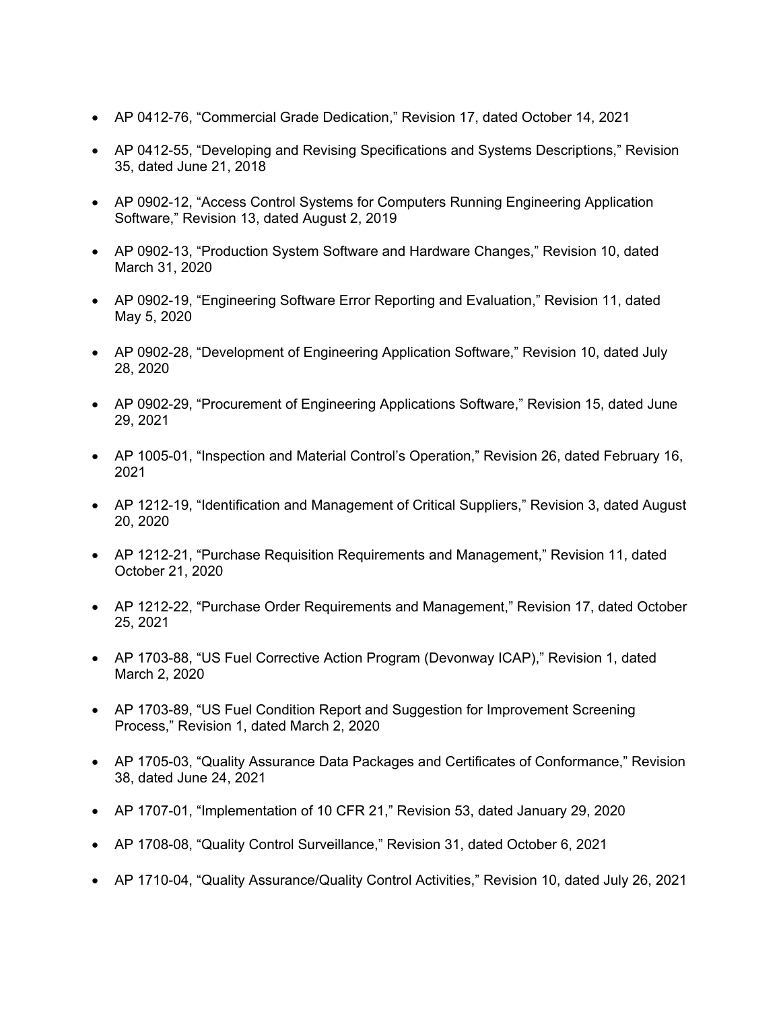- AP 0412-76, "Commercial Grade Dedication," Revision 17, dated October 14, 2021
- AP 0412-55, "Developing and Revising Specifications and Systems Descriptions," Revision 35, dated June 21, 2018
- AP 0902-12, "Access Control Systems for Computers Running Engineering Application Software," Revision 13, dated August 2, 2019
- AP 0902-13, "Production System Software and Hardware Changes," Revision 10, dated March 31, 2020
- AP 0902-19, "Engineering Software Error Reporting and Evaluation," Revision 11, dated May 5, 2020
- AP 0902-28, "Development of Engineering Application Software," Revision 10, dated July 28, 2020
- AP 0902-29, "Procurement of Engineering Applications Software," Revision 15, dated June 29, 2021
- AP 1005-01, "Inspection and Material Control's Operation," Revision 26, dated February 16, 2021
- AP 1212-19, "Identification and Management of Critical Suppliers," Revision 3, dated August 20, 2020
- AP 1212-21, "Purchase Requisition Requirements and Management," Revision 11, dated October 21, 2020
- AP 1212-22, "Purchase Order Requirements and Management," Revision 17, dated October 25, 2021
- AP 1703-88, "US Fuel Corrective Action Program (Devonway ICAP)," Revision 1, dated March 2, 2020
- AP 1703-89, "US Fuel Condition Report and Suggestion for Improvement Screening Process," Revision 1, dated March 2, 2020
- AP 1705-03, "Quality Assurance Data Packages and Certificates of Conformance," Revision 38, dated June 24, 2021
- AP 1707-01, "Implementation of 10 CFR 21," Revision 53, dated January 29, 2020
- AP 1708-08, "Quality Control Surveillance," Revision 31, dated October 6, 2021
- AP 1710-04, "Quality Assurance/Quality Control Activities," Revision 10, dated July 26, 2021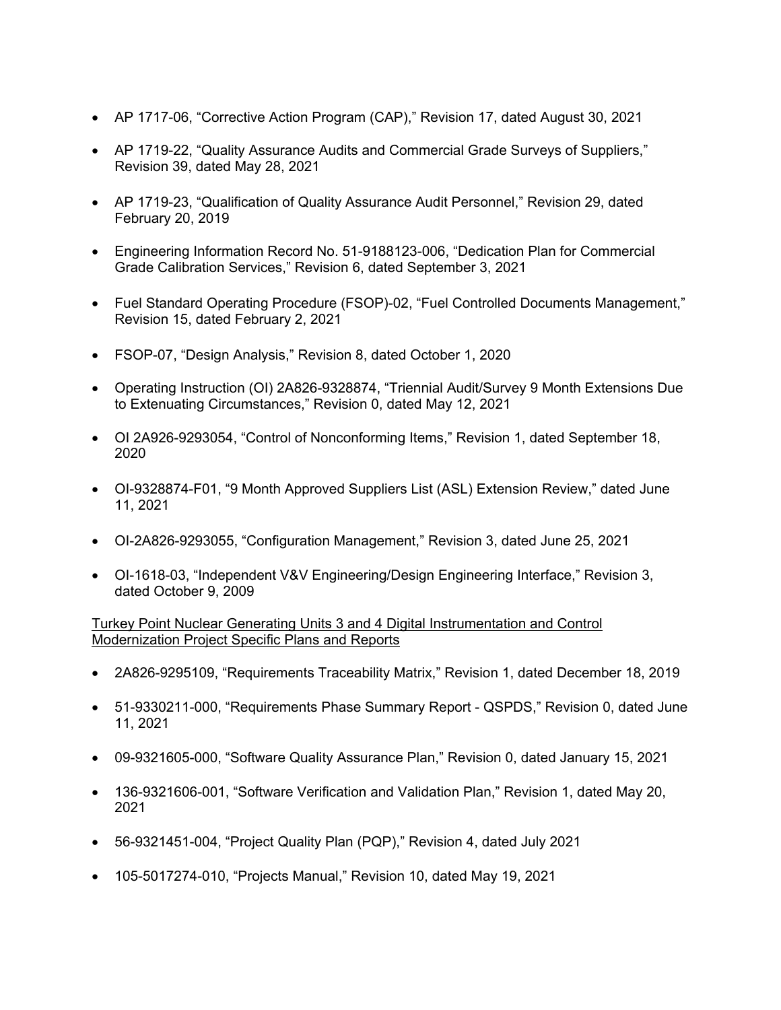- AP 1717-06, "Corrective Action Program (CAP)," Revision 17, dated August 30, 2021
- AP 1719-22, "Quality Assurance Audits and Commercial Grade Surveys of Suppliers," Revision 39, dated May 28, 2021
- AP 1719-23, "Qualification of Quality Assurance Audit Personnel," Revision 29, dated February 20, 2019
- Engineering Information Record No. 51-9188123-006, "Dedication Plan for Commercial Grade Calibration Services," Revision 6, dated September 3, 2021
- Fuel Standard Operating Procedure (FSOP)-02, "Fuel Controlled Documents Management," Revision 15, dated February 2, 2021
- FSOP-07, "Design Analysis," Revision 8, dated October 1, 2020
- Operating Instruction (OI) 2A826-9328874, "Triennial Audit/Survey 9 Month Extensions Due to Extenuating Circumstances," Revision 0, dated May 12, 2021
- OI 2A926-9293054, "Control of Nonconforming Items," Revision 1, dated September 18, 2020
- OI-9328874-F01, "9 Month Approved Suppliers List (ASL) Extension Review," dated June 11, 2021
- OI-2A826-9293055, "Configuration Management," Revision 3, dated June 25, 2021
- OI-1618-03, "Independent V&V Engineering/Design Engineering Interface," Revision 3, dated October 9, 2009

Turkey Point Nuclear Generating Units 3 and 4 Digital Instrumentation and Control Modernization Project Specific Plans and Reports

- 2A826-9295109, "Requirements Traceability Matrix," Revision 1, dated December 18, 2019
- 51-9330211-000, "Requirements Phase Summary Report QSPDS," Revision 0, dated June 11, 2021
- 09-9321605-000, "Software Quality Assurance Plan," Revision 0, dated January 15, 2021
- 136-9321606-001, "Software Verification and Validation Plan," Revision 1, dated May 20, 2021
- 56-9321451-004, "Project Quality Plan (PQP)," Revision 4, dated July 2021
- 105-5017274-010, "Projects Manual," Revision 10, dated May 19, 2021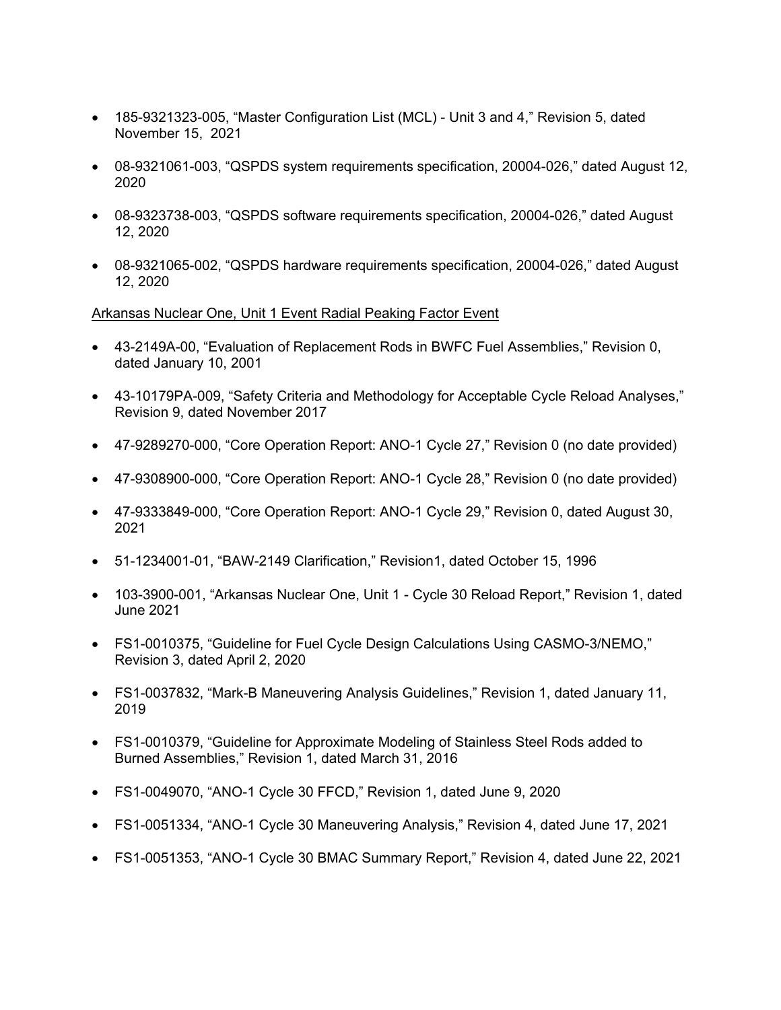- 185-9321323-005, "Master Configuration List (MCL) Unit 3 and 4," Revision 5, dated November 15, 2021
- 08-9321061-003, "QSPDS system requirements specification, 20004-026," dated August 12, 2020
- 08-9323738-003, "QSPDS software requirements specification, 20004-026," dated August 12, 2020
- 08-9321065-002, "QSPDS hardware requirements specification, 20004-026," dated August 12, 2020

# Arkansas Nuclear One, Unit 1 Event Radial Peaking Factor Event

- 43-2149A-00, "Evaluation of Replacement Rods in BWFC Fuel Assemblies," Revision 0, dated January 10, 2001
- 43-10179PA-009, "Safety Criteria and Methodology for Acceptable Cycle Reload Analyses," Revision 9, dated November 2017
- 47-9289270-000, "Core Operation Report: ANO-1 Cycle 27," Revision 0 (no date provided)
- 47-9308900-000, "Core Operation Report: ANO-1 Cycle 28," Revision 0 (no date provided)
- 47-9333849-000, "Core Operation Report: ANO-1 Cycle 29," Revision 0, dated August 30, 2021
- 51-1234001-01, "BAW-2149 Clarification," Revision1, dated October 15, 1996
- 103-3900-001, "Arkansas Nuclear One, Unit 1 Cycle 30 Reload Report," Revision 1, dated June 2021
- FS1-0010375, "Guideline for Fuel Cycle Design Calculations Using CASMO-3/NEMO," Revision 3, dated April 2, 2020
- FS1-0037832, "Mark-B Maneuvering Analysis Guidelines," Revision 1, dated January 11, 2019
- FS1-0010379, "Guideline for Approximate Modeling of Stainless Steel Rods added to Burned Assemblies," Revision 1, dated March 31, 2016
- FS1-0049070, "ANO-1 Cycle 30 FFCD," Revision 1, dated June 9, 2020
- FS1-0051334, "ANO-1 Cycle 30 Maneuvering Analysis," Revision 4, dated June 17, 2021
- FS1-0051353, "ANO-1 Cycle 30 BMAC Summary Report," Revision 4, dated June 22, 2021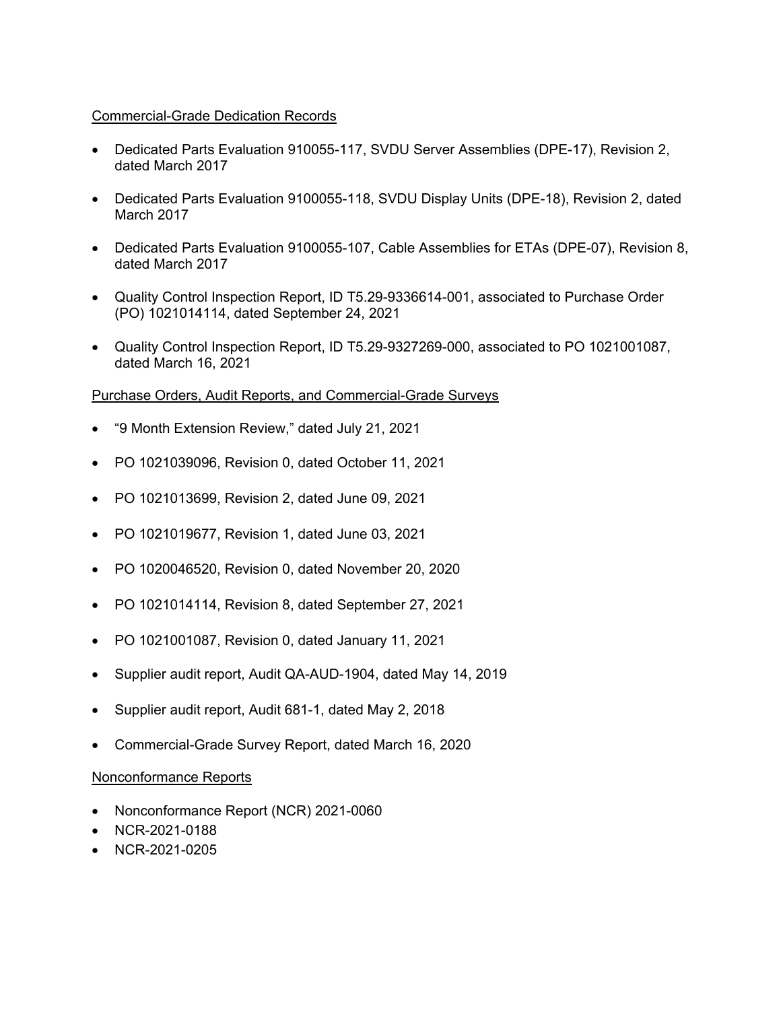# Commercial-Grade Dedication Records

- Dedicated Parts Evaluation 910055-117, SVDU Server Assemblies (DPE-17), Revision 2, dated March 2017
- Dedicated Parts Evaluation 9100055-118, SVDU Display Units (DPE-18), Revision 2, dated March 2017
- Dedicated Parts Evaluation 9100055-107, Cable Assemblies for ETAs (DPE-07), Revision 8, dated March 2017
- Quality Control Inspection Report, ID T5.29-9336614-001, associated to Purchase Order (PO) 1021014114, dated September 24, 2021
- Quality Control Inspection Report, ID T5.29-9327269-000, associated to PO 1021001087, dated March 16, 2021

# Purchase Orders, Audit Reports, and Commercial-Grade Surveys

- "9 Month Extension Review," dated July 21, 2021
- PO 1021039096, Revision 0, dated October 11, 2021
- PO 1021013699, Revision 2, dated June 09, 2021
- PO 1021019677, Revision 1, dated June 03, 2021
- PO 1020046520, Revision 0, dated November 20, 2020
- PO 1021014114, Revision 8, dated September 27, 2021
- PO 1021001087, Revision 0, dated January 11, 2021
- Supplier audit report, Audit QA-AUD-1904, dated May 14, 2019
- Supplier audit report, Audit 681-1, dated May 2, 2018
- Commercial-Grade Survey Report, dated March 16, 2020

# Nonconformance Reports

- Nonconformance Report (NCR) 2021-0060
- NCR-2021-0188
- NCR-2021-0205